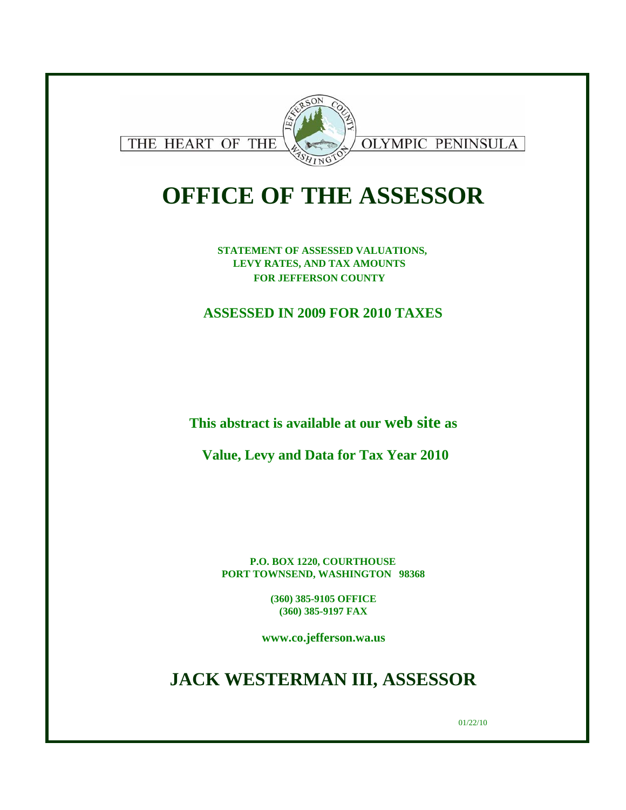

# **OFFICE OF THE ASSESSOR**

**STATEMENT OF ASSESSED VALUATIONS, LEVY RATES, AND TAX AMOUNTS FOR JEFFERSON COUNTY** 

**ASSESSED IN 2009 FOR 2010 TAXES**

**This abstract is available at our web site as**

**Value, Levy and Data for Tax Year 2010**

**P.O. BOX 1220, COURTHOUSE PORT TOWNSEND, WASHINGTON 98368**

> **(360) 385-9105 OFFICE (360) 385-9197 FAX**

**www.co.jefferson.wa.us**

**JACK WESTERMAN III, ASSESSOR**

01/22/10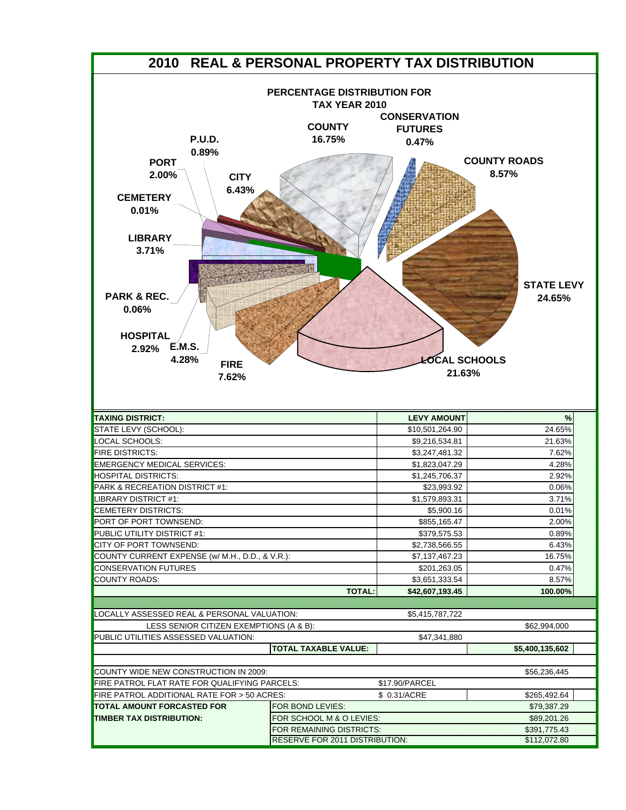| 2010 REAL & PERSONAL PROPERTY TAX DISTRIBUTION                                                                                                                                                                                                 |                                                                                |                                                                                  |                                                             |
|------------------------------------------------------------------------------------------------------------------------------------------------------------------------------------------------------------------------------------------------|--------------------------------------------------------------------------------|----------------------------------------------------------------------------------|-------------------------------------------------------------|
| <b>P.U.D.</b><br>0.89%<br><b>PORT</b><br>2.00%<br><b>CITY</b><br>6.43%<br><b>CEMETERY</b><br>0.01%<br><b>LIBRARY</b><br>3.71%<br><b>PARK &amp; REC.</b><br>0.06%<br><b>HOSPITAL</b><br><b>E.M.S.</b><br>2.92%<br>4.28%<br><b>FIRE</b><br>7.62% | PERCENTAGE DISTRIBUTION FOR<br><b>TAX YEAR 2010</b><br><b>COUNTY</b><br>16.75% | <b>CONSERVATION</b><br><b>FUTURES</b><br>0.47%<br><b>LOCAL SCHOOLS</b><br>21.63% | <b>COUNTY ROADS</b><br>8.57%<br><b>STATE LEVY</b><br>24.65% |
| <b>TAXING DISTRICT:</b>                                                                                                                                                                                                                        |                                                                                | <b>LEVY AMOUNT</b>                                                               | $\frac{9}{6}$                                               |
| STATE LEVY (SCHOOL):                                                                                                                                                                                                                           |                                                                                | \$10,501,264.90                                                                  | 24.65%                                                      |
| LOCAL SCHOOLS:                                                                                                                                                                                                                                 |                                                                                | \$9,216,534.81                                                                   | 21.63%                                                      |
| <b>FIRE DISTRICTS:</b>                                                                                                                                                                                                                         |                                                                                | \$3,247,481.32                                                                   | 7.62%                                                       |
| <b>EMERGENCY MEDICAL SERVICES:</b>                                                                                                                                                                                                             |                                                                                | \$1,823,047.29                                                                   | 4.28%                                                       |
| <b>HOSPITAL DISTRICTS:</b>                                                                                                                                                                                                                     |                                                                                | \$1,245,706.37                                                                   | 2.92%                                                       |
| PARK & RECREATION DISTRICT #1:                                                                                                                                                                                                                 |                                                                                | \$23,993.92                                                                      | 0.06%                                                       |
| LIBRARY DISTRICT #1:                                                                                                                                                                                                                           |                                                                                | \$1,579,893.31                                                                   | 3.71%                                                       |
| CEMETERY DISTRICTS:                                                                                                                                                                                                                            |                                                                                | \$5,900.16                                                                       | 0.01%                                                       |
| PORT OF PORT TOWNSEND:                                                                                                                                                                                                                         |                                                                                | \$855,165.47                                                                     | 2.00%                                                       |
| PUBLIC UTILITY DISTRICT #1:                                                                                                                                                                                                                    |                                                                                | \$379,575.53                                                                     | 0.89%                                                       |
| CITY OF PORT TOWNSEND:                                                                                                                                                                                                                         |                                                                                | \$2,738,566.55                                                                   | 6.43%                                                       |
| COUNTY CURRENT EXPENSE (w/ M.H., D.D., & V.R.):                                                                                                                                                                                                |                                                                                | \$7,137,467.23                                                                   | 16.75%                                                      |
| <b>CONSERVATION FUTURES</b>                                                                                                                                                                                                                    |                                                                                | \$201,263.05                                                                     | 0.47%                                                       |
| <b>COUNTY ROADS:</b>                                                                                                                                                                                                                           |                                                                                | \$3,651,333.54                                                                   | 8.57%                                                       |
|                                                                                                                                                                                                                                                | <b>TOTAL:</b>                                                                  | \$42,607,193.45                                                                  | 100.00%                                                     |
| LOCALLY ASSESSED REAL & PERSONAL VALUATION:                                                                                                                                                                                                    |                                                                                | \$5,415,787,722                                                                  |                                                             |
| LESS SENIOR CITIZEN EXEMPTIONS (A & B):                                                                                                                                                                                                        |                                                                                |                                                                                  | \$62,994,000                                                |
| PUBLIC UTILITIES ASSESSED VALUATION:                                                                                                                                                                                                           |                                                                                | \$47,341,880                                                                     |                                                             |
|                                                                                                                                                                                                                                                | TOTAL TAXABLE VALUE:                                                           |                                                                                  | \$5,400,135,602                                             |
|                                                                                                                                                                                                                                                |                                                                                |                                                                                  |                                                             |
| COUNTY WIDE NEW CONSTRUCTION IN 2009:                                                                                                                                                                                                          |                                                                                |                                                                                  | \$56,236,445                                                |
| FIRE PATROL FLAT RATE FOR QUALIFYING PARCELS:                                                                                                                                                                                                  |                                                                                | \$17.90/PARCEL                                                                   |                                                             |
| FIRE PATROL ADDITIONAL RATE FOR > 50 ACRES:                                                                                                                                                                                                    |                                                                                | \$ 0.31/ACRE                                                                     | \$265,492.64                                                |
| TOTAL AMOUNT FORCASTED FOR                                                                                                                                                                                                                     | FOR BOND LEVIES:                                                               |                                                                                  | \$79,387.29                                                 |
| TIMBER TAX DISTRIBUTION:                                                                                                                                                                                                                       | FOR SCHOOL M & O LEVIES:                                                       |                                                                                  | \$89,201.26                                                 |
|                                                                                                                                                                                                                                                | FOR REMAINING DISTRICTS:                                                       |                                                                                  | \$391,775.43                                                |
|                                                                                                                                                                                                                                                | RESERVE FOR 2011 DISTRIBUTION:                                                 |                                                                                  | \$112,072.80                                                |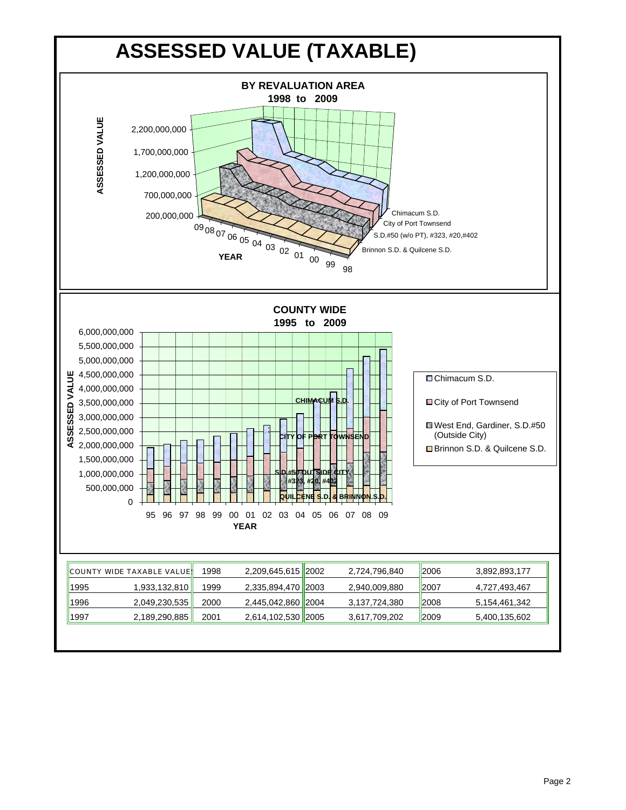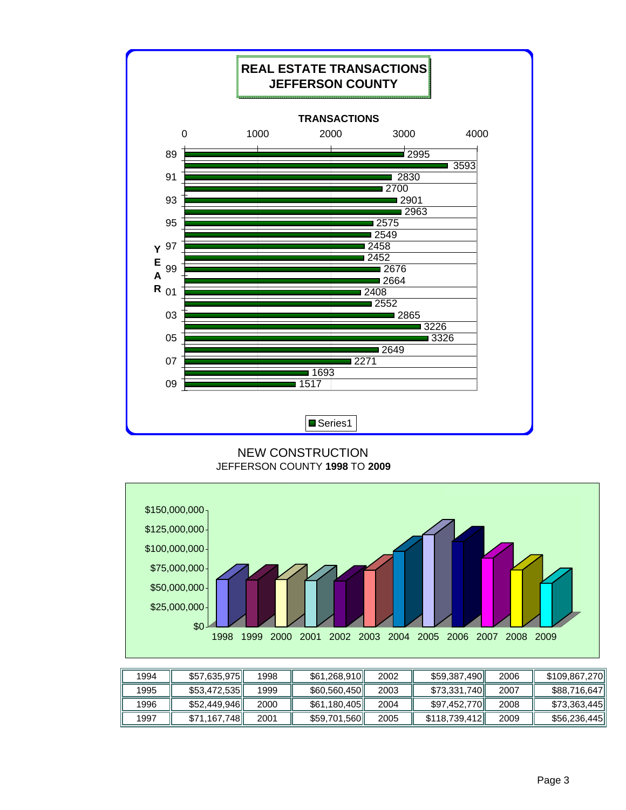

#### NEW CONSTRUCTION JEFFERSON COUNTY **1998** TO **2009**



| 1994 | \$57,635,975 | 1998 | \$61,268,910 | 2002 | \$59,387,490   | 2006 | \$109,867,270 |
|------|--------------|------|--------------|------|----------------|------|---------------|
| 1995 | \$53,472,535 | 1999 | \$60,560,450 | 2003 | \$73,331,740   | 2007 | \$88,716,647  |
| 1996 | \$52,449,946 | 2000 | \$61,180,405 | 2004 | \$97,452,770II | 2008 | \$73,363,445  |
| 1997 | \$71,167,748 | 2001 | \$59,701,560 | 2005 | \$118,739,412  | 2009 | \$56,236,445  |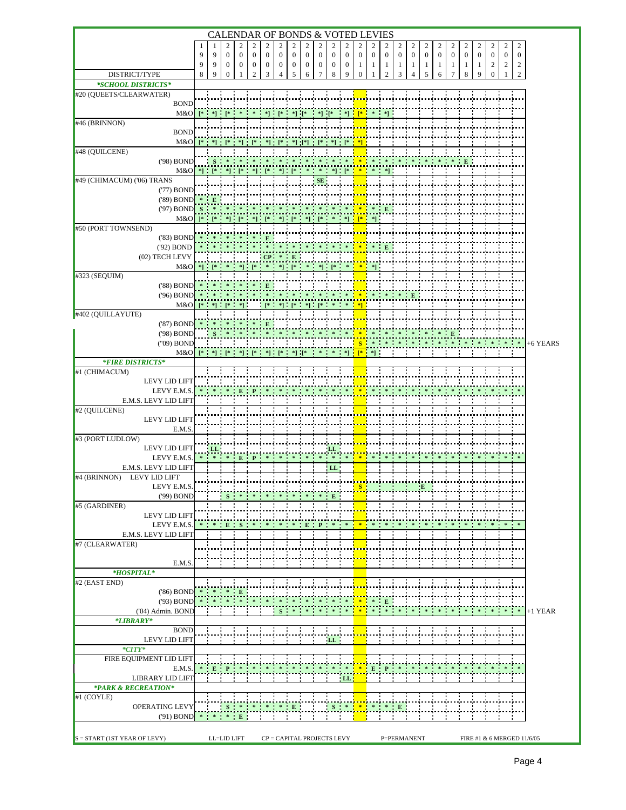|                                                           |        |                                                                                                                                                                                                                                                                                                                                                                                                                                                                                                                                    |                                |                                |                                 |                                                                                |                   |                           |                   |                   |                                |                   |                   |                                | CALENDAR OF BONDS & VOTED LEVIES |                       |                       |                       |                   |                     |                   |                   |                   |                     |                                    |                            |
|-----------------------------------------------------------|--------|------------------------------------------------------------------------------------------------------------------------------------------------------------------------------------------------------------------------------------------------------------------------------------------------------------------------------------------------------------------------------------------------------------------------------------------------------------------------------------------------------------------------------------|--------------------------------|--------------------------------|---------------------------------|--------------------------------------------------------------------------------|-------------------|---------------------------|-------------------|-------------------|--------------------------------|-------------------|-------------------|--------------------------------|----------------------------------|-----------------------|-----------------------|-----------------------|-------------------|---------------------|-------------------|-------------------|-------------------|---------------------|------------------------------------|----------------------------|
|                                                           | 1<br>9 | 9                                                                                                                                                                                                                                                                                                                                                                                                                                                                                                                                  | $\overline{c}$<br>$\mathbf{0}$ | $\overline{2}$<br>$\mathbf{0}$ | $\overline{c}$<br>$\mathbf{0}$  | 2<br>$\mathbf{0}$                                                              | 2<br>$\mathbf{0}$ | 2<br>$\mathbf{0}$         | 2<br>$\mathbf{0}$ | 2<br>$\mathbf{0}$ | $\overline{c}$<br>$\mathbf{0}$ | 2<br>$\mathbf{0}$ | 2<br>$\mathbf{0}$ | $\overline{c}$<br>$\mathbf{0}$ | 2<br>$\theta$                    | 2<br>$\boldsymbol{0}$ | 2<br>$\boldsymbol{0}$ | 2<br>$\boldsymbol{0}$ | 2<br>$\mathbf{0}$ | 2<br>$\overline{0}$ | 2<br>$\mathbf{0}$ | 2<br>$\mathbf{0}$ | 2<br>$\mathbf{0}$ | 2<br>$\overline{0}$ | $\overline{c}$<br>$\boldsymbol{0}$ |                            |
|                                                           | 9      | 9                                                                                                                                                                                                                                                                                                                                                                                                                                                                                                                                  | $\mathbf{0}$                   | $\bf{0}$                       | $\mathbf{0}$                    | $\mathbf{0}$                                                                   | 0                 | $\mathbf{0}$              | 0                 | $\mathbf{0}$      | $\mathbf{0}$                   | $\mathbf{0}$      | 1                 | 1                              | 1                                | 1                     | 1                     | 1                     | -1                | 1                   | -1                | 1                 | 2                 | 2                   | $\overline{c}$                     |                            |
| DISTRICT/TYPE                                             | 8      | 9                                                                                                                                                                                                                                                                                                                                                                                                                                                                                                                                  | 0                              |                                | 2                               | 3                                                                              | 4                 | 5                         | 6                 | 7                 | 8                              | 9                 | 0                 |                                | 2                                | 3                     | 4                     | 5                     | 6                 | 7                   | 8                 | 9                 | $\boldsymbol{0}$  | 1                   | $\overline{c}$                     |                            |
| *SCHOOL DISTRICTS*                                        |        |                                                                                                                                                                                                                                                                                                                                                                                                                                                                                                                                    |                                |                                |                                 |                                                                                |                   |                           |                   |                   |                                |                   |                   |                                |                                  |                       |                       |                       |                   |                     |                   |                   |                   |                     |                                    |                            |
| #20 (QUEETS/CLEARWATER)<br><b>BOND</b>                    |        |                                                                                                                                                                                                                                                                                                                                                                                                                                                                                                                                    |                                |                                |                                 |                                                                                |                   |                           |                   |                   |                                |                   |                   |                                |                                  |                       |                       |                       |                   |                     |                   |                   |                   |                     |                                    |                            |
| M&O                                                       |        |                                                                                                                                                                                                                                                                                                                                                                                                                                                                                                                                    |                                |                                |                                 |                                                                                |                   |                           |                   |                   |                                |                   |                   |                                |                                  |                       |                       |                       |                   |                     |                   |                   |                   |                     |                                    |                            |
| $#46$ (BRINNON)                                           |        |                                                                                                                                                                                                                                                                                                                                                                                                                                                                                                                                    |                                |                                |                                 |                                                                                |                   |                           |                   |                   |                                |                   |                   |                                |                                  |                       |                       |                       |                   |                     |                   |                   |                   |                     |                                    |                            |
| <b>BOND</b><br>M&O                                        |        | $[\begin{array}{cc} {3} \end{array}, \begin{array}{cc} {3} \end{array}, \begin{array}{cc} {4} \end{array}, \begin{array}{cc} {5} \end{array}, \begin{array}{cc} {4} \end{array}, \begin{array}{cc} {5} \end{array}, \begin{array}{cc} {5} \end{array}, \begin{array}{cc} {5} \end{array}, \begin{array}{cc} {5} \end{array}, \begin{array}{cc} {5} \end{array}, \begin{array}{cc} {5} \end{array}, \begin{array}{cc} {5} \end{array}, \begin{array}{cc} {5} \end{array}, \begin{array}{cc} {5} \end{array}, \begin{array}{cc} {5}$ |                                |                                |                                 |                                                                                |                   |                           |                   |                   |                                |                   |                   |                                |                                  |                       |                       |                       |                   |                     |                   |                   |                   |                     |                                    |                            |
| #48 (QUILCENE)                                            |        |                                                                                                                                                                                                                                                                                                                                                                                                                                                                                                                                    |                                |                                |                                 |                                                                                |                   |                           |                   |                   |                                |                   |                   |                                |                                  |                       |                       |                       |                   |                     |                   |                   |                   |                     |                                    |                            |
| ('98) BOND                                                |        | $\mathbf S$                                                                                                                                                                                                                                                                                                                                                                                                                                                                                                                        |                                |                                |                                 |                                                                                |                   |                           |                   |                   |                                |                   |                   |                                |                                  |                       |                       |                       |                   |                     |                   |                   |                   |                     |                                    |                            |
| M&O<br>#49 (CHIMACUM) ('06) TRANS                         |        | $*$ $*$ $*$ $*$ $*$                                                                                                                                                                                                                                                                                                                                                                                                                                                                                                                |                                |                                |                                 |                                                                                |                   |                           |                   |                   |                                |                   |                   |                                |                                  |                       |                       |                       |                   |                     |                   |                   |                   |                     |                                    |                            |
| ('77) BOND                                                |        |                                                                                                                                                                                                                                                                                                                                                                                                                                                                                                                                    |                                |                                |                                 |                                                                                |                   |                           |                   |                   |                                |                   |                   |                                |                                  |                       |                       |                       |                   |                     |                   |                   |                   |                     |                                    |                            |
| $(89)$ BOND $*$                                           |        |                                                                                                                                                                                                                                                                                                                                                                                                                                                                                                                                    |                                |                                |                                 |                                                                                |                   |                           |                   |                   |                                |                   |                   |                                |                                  |                       |                       |                       |                   |                     |                   |                   |                   |                     |                                    |                            |
| $('97) BOND S$ *<br>$M&O$ ]* [* *] [* *] [* *] [* *] [* ] |        |                                                                                                                                                                                                                                                                                                                                                                                                                                                                                                                                    |                                |                                |                                 |                                                                                |                   |                           |                   |                   |                                |                   |                   |                                |                                  |                       |                       |                       |                   |                     |                   |                   |                   |                     |                                    |                            |
| #50 (PORT TOWNSEND)                                       |        |                                                                                                                                                                                                                                                                                                                                                                                                                                                                                                                                    |                                |                                |                                 |                                                                                |                   |                           |                   |                   |                                |                   |                   |                                |                                  |                       |                       |                       |                   |                     |                   |                   |                   |                     |                                    |                            |
| $(83) BOND$ *                                             |        |                                                                                                                                                                                                                                                                                                                                                                                                                                                                                                                                    | $\ast$ $\ast$                  |                                | $\rightarrow$ $\rightarrow$ $E$ |                                                                                |                   |                           |                   |                   |                                |                   |                   |                                |                                  |                       |                       |                       |                   |                     |                   |                   |                   |                     |                                    |                            |
| ('92) BOND<br>(02) TECH LEVY                              |        |                                                                                                                                                                                                                                                                                                                                                                                                                                                                                                                                    |                                |                                |                                 | $CP$ *                                                                         |                   | $\blacksquare$            |                   |                   |                                |                   |                   |                                |                                  |                       |                       |                       |                   |                     |                   |                   |                   |                     |                                    |                            |
| M&O                                                       |        |                                                                                                                                                                                                                                                                                                                                                                                                                                                                                                                                    |                                |                                |                                 |                                                                                |                   |                           |                   |                   |                                |                   |                   |                                |                                  |                       |                       |                       |                   |                     |                   |                   |                   |                     |                                    |                            |
| #323 (SEQUIM)                                             |        |                                                                                                                                                                                                                                                                                                                                                                                                                                                                                                                                    |                                |                                |                                 |                                                                                |                   |                           |                   |                   |                                |                   |                   |                                |                                  |                       |                       |                       |                   |                     |                   |                   |                   |                     |                                    |                            |
| $(88)$ BOND<br>$(96)$ BOND                                |        |                                                                                                                                                                                                                                                                                                                                                                                                                                                                                                                                    |                                |                                |                                 |                                                                                |                   |                           |                   |                   |                                |                   |                   |                                |                                  |                       | E                     |                       |                   |                     |                   |                   |                   |                     |                                    |                            |
| $M&O$ [* *] [* *]                                         |        |                                                                                                                                                                                                                                                                                                                                                                                                                                                                                                                                    |                                |                                |                                 |                                                                                |                   |                           | $*$ $*$ $*$ $*$   |                   |                                |                   |                   |                                |                                  |                       |                       |                       |                   |                     |                   |                   |                   |                     |                                    |                            |
| #402 (QUILLAYUTE)                                         |        |                                                                                                                                                                                                                                                                                                                                                                                                                                                                                                                                    |                                |                                |                                 |                                                                                |                   |                           |                   |                   |                                |                   |                   |                                |                                  |                       |                       |                       |                   |                     |                   |                   |                   |                     |                                    |                            |
| $(87)$ BOND $*$ $*$<br>('98) BOND                         |        |                                                                                                                                                                                                                                                                                                                                                                                                                                                                                                                                    |                                | $\cdots$                       |                                 |                                                                                |                   |                           |                   |                   |                                |                   |                   |                                |                                  |                       |                       |                       |                   |                     |                   |                   |                   |                     |                                    |                            |
| ("09) BOND                                                |        |                                                                                                                                                                                                                                                                                                                                                                                                                                                                                                                                    |                                |                                |                                 |                                                                                |                   |                           |                   |                   |                                |                   |                   |                                |                                  |                       |                       |                       |                   |                     |                   |                   |                   | $* -$               | $\ast$                             | +6 YEARS                   |
| $M&O$ [*                                                  |        |                                                                                                                                                                                                                                                                                                                                                                                                                                                                                                                                    |                                |                                |                                 |                                                                                |                   |                           |                   |                   |                                |                   |                   |                                |                                  |                       |                       |                       |                   |                     |                   |                   |                   |                     |                                    |                            |
| <i><b>*FIRE DISTRICTS*</b></i><br>#1 (CHIMACUM)           |        |                                                                                                                                                                                                                                                                                                                                                                                                                                                                                                                                    |                                |                                |                                 |                                                                                |                   |                           |                   |                   |                                |                   |                   |                                |                                  |                       |                       |                       |                   |                     |                   |                   |                   |                     |                                    |                            |
| <b>LEVY LID LIFT</b>                                      |        |                                                                                                                                                                                                                                                                                                                                                                                                                                                                                                                                    |                                |                                |                                 |                                                                                |                   |                           |                   |                   |                                |                   |                   |                                |                                  |                       |                       |                       |                   |                     |                   |                   |                   |                     |                                    |                            |
| LEVY E.M.S                                                |        |                                                                                                                                                                                                                                                                                                                                                                                                                                                                                                                                    |                                |                                |                                 |                                                                                |                   |                           |                   |                   |                                |                   |                   |                                |                                  |                       |                       |                       |                   |                     |                   |                   |                   |                     |                                    |                            |
| E.M.S. LEVY LID LIFT<br>#2 (QUILCENE)                     |        |                                                                                                                                                                                                                                                                                                                                                                                                                                                                                                                                    |                                |                                |                                 |                                                                                |                   |                           |                   |                   |                                |                   |                   |                                |                                  |                       |                       |                       |                   |                     |                   |                   |                   |                     |                                    |                            |
| LEVY LID LIFT                                             |        |                                                                                                                                                                                                                                                                                                                                                                                                                                                                                                                                    |                                |                                |                                 |                                                                                |                   |                           |                   |                   |                                |                   |                   |                                |                                  |                       |                       |                       |                   |                     |                   |                   |                   |                     |                                    |                            |
| E.M.S                                                     |        |                                                                                                                                                                                                                                                                                                                                                                                                                                                                                                                                    |                                |                                |                                 |                                                                                |                   |                           |                   |                   |                                |                   |                   |                                |                                  |                       |                       |                       |                   |                     |                   |                   |                   |                     |                                    |                            |
| #3 (PORT LUDLOW)<br>LEVY LID LIFT                         |        | LL                                                                                                                                                                                                                                                                                                                                                                                                                                                                                                                                 |                                |                                |                                 |                                                                                |                   |                           |                   |                   | LL                             |                   |                   |                                |                                  |                       |                       |                       |                   |                     |                   |                   |                   |                     |                                    |                            |
| LEVY E.M.S.                                               |        |                                                                                                                                                                                                                                                                                                                                                                                                                                                                                                                                    |                                |                                |                                 |                                                                                |                   |                           |                   |                   |                                |                   |                   |                                |                                  |                       |                       |                       |                   |                     |                   |                   |                   |                     |                                    |                            |
| E.M.S. LEVY LID LIFT                                      |        |                                                                                                                                                                                                                                                                                                                                                                                                                                                                                                                                    |                                |                                |                                 |                                                                                |                   |                           |                   |                   | ' LL                           |                   |                   |                                |                                  |                       |                       |                       |                   |                     |                   |                   |                   |                     |                                    |                            |
| LEVY LID LIFT<br>$#4$ (BRINNON)<br>LEVY E.M.S.            |        |                                                                                                                                                                                                                                                                                                                                                                                                                                                                                                                                    |                                |                                |                                 |                                                                                |                   |                           |                   |                   |                                |                   |                   |                                |                                  |                       |                       |                       |                   |                     |                   |                   |                   |                     |                                    |                            |
| ('99) BOND                                                |        |                                                                                                                                                                                                                                                                                                                                                                                                                                                                                                                                    |                                |                                |                                 |                                                                                |                   |                           |                   |                   |                                |                   |                   |                                |                                  |                       |                       |                       |                   |                     |                   |                   |                   |                     |                                    |                            |
| #5 (GARDINER)                                             |        |                                                                                                                                                                                                                                                                                                                                                                                                                                                                                                                                    |                                |                                |                                 |                                                                                |                   |                           |                   |                   |                                |                   |                   |                                |                                  |                       |                       |                       |                   |                     |                   |                   |                   |                     |                                    |                            |
| <b>LEVY LID LIFT</b><br>LEVY E.M.S.                       |        |                                                                                                                                                                                                                                                                                                                                                                                                                                                                                                                                    | E                              |                                |                                 |                                                                                |                   |                           | Е                 |                   |                                |                   |                   |                                |                                  |                       |                       |                       |                   |                     |                   |                   |                   |                     |                                    |                            |
| E.M.S. LEVY LID LIFT                                      |        |                                                                                                                                                                                                                                                                                                                                                                                                                                                                                                                                    |                                |                                |                                 |                                                                                |                   |                           |                   |                   |                                |                   |                   |                                |                                  |                       |                       |                       |                   |                     |                   |                   |                   |                     |                                    |                            |
| $#7$ (CLEARWATER)                                         |        |                                                                                                                                                                                                                                                                                                                                                                                                                                                                                                                                    |                                |                                |                                 |                                                                                |                   |                           |                   |                   |                                |                   |                   |                                |                                  |                       |                       |                       |                   |                     |                   |                   |                   |                     |                                    |                            |
| E.M.S.                                                    |        |                                                                                                                                                                                                                                                                                                                                                                                                                                                                                                                                    |                                |                                |                                 |                                                                                |                   |                           |                   |                   |                                |                   |                   |                                |                                  |                       |                       |                       |                   |                     |                   |                   |                   |                     |                                    |                            |
| $*HOSPITAL*$                                              |        |                                                                                                                                                                                                                                                                                                                                                                                                                                                                                                                                    |                                |                                |                                 |                                                                                |                   |                           |                   |                   |                                |                   |                   |                                |                                  |                       |                       |                       |                   |                     |                   |                   |                   |                     |                                    |                            |
| #2 (EAST END)                                             |        |                                                                                                                                                                                                                                                                                                                                                                                                                                                                                                                                    |                                |                                |                                 |                                                                                |                   |                           |                   |                   |                                |                   |                   |                                |                                  |                       |                       |                       |                   |                     |                   |                   |                   |                     |                                    |                            |
| $(86)$ BOND<br>$(93)$ BOND                                |        |                                                                                                                                                                                                                                                                                                                                                                                                                                                                                                                                    |                                | E                              |                                 | $\ast$                                                                         | $\cdot$           | $\mathcal{R}$             | $\mathcal{R}$     | $\cdot$           | $\ast$                         | $\cdot$           | <b>TANK</b>       | $\ast$                         |                                  |                       |                       |                       |                   |                     |                   |                   |                   |                     |                                    |                            |
| ('04) Admin. BOND                                         |        |                                                                                                                                                                                                                                                                                                                                                                                                                                                                                                                                    |                                |                                |                                 |                                                                                | S                 |                           |                   |                   |                                |                   |                   |                                | $\mathbf{E}$                     |                       |                       |                       |                   |                     |                   |                   |                   |                     |                                    | $* * * * *  +1$ YEAR       |
| *LIBRARY*                                                 |        |                                                                                                                                                                                                                                                                                                                                                                                                                                                                                                                                    |                                |                                |                                 |                                                                                |                   |                           |                   |                   |                                |                   |                   |                                |                                  |                       |                       |                       |                   |                     |                   |                   |                   |                     |                                    |                            |
| <b>BOND</b>                                               |        |                                                                                                                                                                                                                                                                                                                                                                                                                                                                                                                                    |                                |                                |                                 |                                                                                |                   |                           |                   |                   |                                |                   |                   |                                |                                  |                       |                       |                       |                   |                     |                   |                   |                   |                     |                                    |                            |
| <b>LEVY LID LIFT</b><br>$*CITY*$                          |        |                                                                                                                                                                                                                                                                                                                                                                                                                                                                                                                                    |                                |                                |                                 |                                                                                |                   |                           |                   |                   | LL.                            |                   |                   |                                |                                  |                       |                       |                       |                   |                     |                   |                   |                   |                     |                                    |                            |
| FIRE EQUIPMENT LID LIFT                                   |        |                                                                                                                                                                                                                                                                                                                                                                                                                                                                                                                                    |                                |                                |                                 |                                                                                |                   |                           |                   |                   |                                |                   |                   |                                |                                  |                       |                       |                       |                   |                     |                   |                   |                   |                     |                                    |                            |
| E.M.S.                                                    |        |                                                                                                                                                                                                                                                                                                                                                                                                                                                                                                                                    |                                |                                |                                 |                                                                                |                   |                           |                   |                   |                                |                   |                   |                                |                                  |                       |                       |                       |                   |                     |                   |                   |                   |                     |                                    |                            |
| LIBRARY LID LIFT<br>*PARK & RECREATION*                   |        |                                                                                                                                                                                                                                                                                                                                                                                                                                                                                                                                    |                                |                                |                                 |                                                                                |                   |                           |                   |                   |                                | LL.               |                   |                                |                                  |                       |                       |                       |                   |                     |                   |                   |                   |                     |                                    |                            |
| $#1$ (COYLE)                                              |        |                                                                                                                                                                                                                                                                                                                                                                                                                                                                                                                                    |                                |                                |                                 |                                                                                |                   |                           |                   |                   |                                |                   |                   |                                |                                  |                       |                       |                       |                   |                     |                   |                   |                   |                     |                                    |                            |
| OPERATING LEVY                                            |        |                                                                                                                                                                                                                                                                                                                                                                                                                                                                                                                                    |                                |                                |                                 | $\begin{array}{cccccccccc} \textbf{S} & \ast & \ast & \ast & \ast \end{array}$ | $\ast$            | $\parallel$ E $\parallel$ |                   |                   | $S^*$                          |                   | $\cdot$           |                                | $\ast$ $\rightarrow$             | E                     |                       |                       |                   |                     |                   |                   |                   |                     |                                    |                            |
| $(91) BOND$ * * E                                         |        |                                                                                                                                                                                                                                                                                                                                                                                                                                                                                                                                    |                                |                                |                                 |                                                                                |                   |                           |                   |                   |                                |                   |                   |                                |                                  |                       |                       |                       |                   |                     |                   |                   |                   |                     |                                    |                            |
| $S = \text{START} (1ST YEAR OF LEVY)$                     |        |                                                                                                                                                                                                                                                                                                                                                                                                                                                                                                                                    | LL=LID LIFT                    |                                |                                 | CP = CAPITAL PROJECTS LEVY                                                     |                   |                           |                   |                   |                                |                   |                   |                                |                                  | P=PERMANENT           |                       |                       |                   |                     |                   |                   |                   |                     |                                    | FIRE #1 & 6 MERGED 11/6/05 |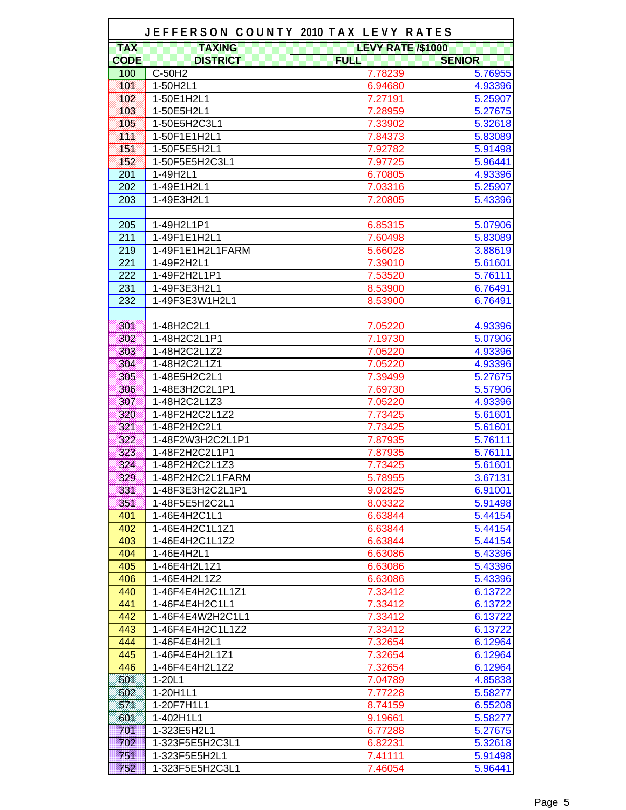|                  | JEFFERSON COUNTY 2010 TAX LEVY RATES |                          |               |
|------------------|--------------------------------------|--------------------------|---------------|
| <b>TAX</b>       | <b>TAXING</b>                        | <b>LEVY RATE /\$1000</b> |               |
| <b>CODE</b>      | <b>DISTRICT</b>                      | <b>FULL</b>              | <b>SENIOR</b> |
| 100              | C-50H2                               | 7.78239                  | 5.76955       |
| <b>NSK</b>       | 1-50H2L1                             | 6.94680                  | 4.93396       |
| 882              | 1-50E1H2L1                           | 7.27191                  | 5.25907       |
| NSS              | 1-50E5H2L1                           | 7.28959                  | 5.27675       |
| 105              | 1-50E5H2C3L1                         | 7.33902                  | 5.32618       |
| KW.              | 1-50F1E1H2L1                         | 7.84373                  | 5.83089       |
| KBK.             | 1-50F5E5H2L1                         | 7.92782                  | 5.91498       |
| <b>NB2</b>       | 1-50F5E5H2C3L1                       | 7.97725                  | 5.96441       |
| 201              | 1-49H2L1                             | 6.70805                  | 4.93396       |
| 202              | 1-49E1H2L1                           | 7.03316                  | 5.25907       |
| 203              | 1-49E3H2L1                           | 7.20805                  | 5.43396       |
|                  |                                      |                          |               |
| 205              | 1-49H2L1P1                           | 6.85315                  | 5.07906       |
| 211              | 1-49F1E1H2L1                         | 7.60498                  | 5.83089       |
| 219              | 1-49F1E1H2L1FARM                     | 5.66028                  | 3.88619       |
| $\overline{221}$ | 1-49F2H2L1                           | 7.39010                  | 5.61601       |
| 222              | 1-49F2H2L1P1                         | 7.53520                  | 5.76111       |
| 231              | 1-49F3E3H2L1                         | 8.53900                  | 6.76491       |
| 232              | 1-49F3E3W1H2L1                       | 8.53900                  | 6.76491       |
|                  |                                      |                          |               |
| 399              | 1-48H2C2L1                           | 7.05220                  | 4.93396       |
| 802              | 1-48H2C2L1P1                         | 7.19730                  | 5.07906       |
| 303              | 1-48H2C2L1Z2                         | 7.05220                  | 4.93396       |
| 898              | 1-48H2C2L1Z1                         | 7.05220                  | 4.93396       |
| 305              | 1-48E5H2C2L1                         | 7.39499                  | 5.27675       |
| 800              | 1-48E3H2C2L1P1                       | 7.69730                  | 5.57906       |
| 308              | 1-48H2C2L1Z3                         | 7.05220                  | 4.93396       |
| 828              | 1-48F2H2C2L1Z2                       | 7.73425                  | 5.61601       |
| 333              | 1-48F2H2C2L1                         | 7.73425                  | 5.61601       |
| 822              | 1-48F2W3H2C2L1P1                     | 7.87935                  | 5.76111       |
| 333              | 1-48F2H2C2L1P1                       | 7.87935                  | 5.76111       |
| 824              | 1-48F2H2C2L1Z3                       | 7.73425                  | 5.61601       |
| 329              | 1-48F2H2C2L1FARM                     | 5.78955                  | 3.67131       |
| 224              | 1-48F3E3H2C2L1P1                     | 9.02825                  | 6.91001       |
| 19300            | 1-48F5E5H2C2L1                       | 8.03322                  | 5.91498       |
| 401              | 1-46E4H2C1L1                         | 6.63844                  | 5.44154       |
| 402              | 1-46E4H2C1L1Z1                       | 6.63844                  | 5.44154       |
| 403              | 1-46E4H2C1L1Z2                       | 6.63844                  | 5.44154       |
| 404              | 1-46E4H2L1                           | 6.63086                  | 5.43396       |
| 405              | 1-46E4H2L1Z1                         | 6.63086                  | 5.43396       |
| 406              | 1-46E4H2L1Z2                         | 6.63086                  | 5.43396       |
| 440              | 1-46F4E4H2C1L1Z1                     | 7.33412                  | 6.13722       |
| 441              | 1-46F4E4H2C1L1                       | 7.33412                  | 6.13722       |
| 442              | 1-46F4E4W2H2C1L1                     | 7.33412                  | 6.13722       |
| 443              | 1-46F4E4H2C1L1Z2                     | 7.33412                  | 6.13722       |
| 444              | 1-46F4E4H2L1                         | 7.32654                  | 6.12964       |
| 445              | 1-46F4E4H2L1Z1                       | 7.32654                  | 6.12964       |
| 446              | 1-46F4E4H2L1Z2                       | 7.32654                  | 6.12964       |
| 50V              | $1 - 20L1$                           | 7.04789                  | 4.85838       |
| 502              | 1-20H1L1                             | 7.77228                  | 5.58277       |
| 87 N             | 1-20F7H1L1                           | 8.74159                  | 6.55208       |
| <b>BON</b>       | 1-402H1L1                            | 9.19661                  | 5.58277       |
| 701              | 1-323E5H2L1                          | 6.77288                  | 5.27675       |
| 702              | 1-323F5E5H2C3L1                      | 6.82231                  | 5.32618       |
| 751              | 1-323F5E5H2L1                        | 7.41111                  | 5.91498       |
| 752              | 1-323F5E5H2C3L1                      | 7.46054                  | 5.96441       |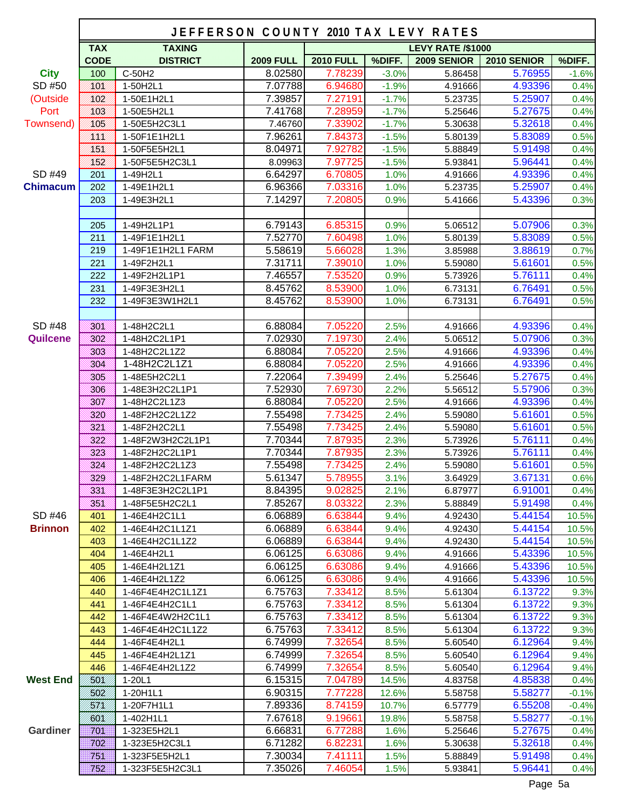|                 |                   | JEFFERSON COUNTY 2010 TAX LEVY RATES |                  |                  |         |                          |                    |         |
|-----------------|-------------------|--------------------------------------|------------------|------------------|---------|--------------------------|--------------------|---------|
|                 | <b>TAX</b>        | <b>TAXING</b>                        |                  |                  |         | <b>LEVY RATE /\$1000</b> |                    |         |
|                 | <b>CODE</b>       | <b>DISTRICT</b>                      | <b>2009 FULL</b> | <b>2010 FULL</b> | %DIFF.  | <b>2009 SENIOR</b>       | <b>2010 SENIOR</b> | %DIFF.  |
| <b>City</b>     | 100               | C-50H2                               | 8.02580          | 7.78239          | $-3.0%$ | 5.86458                  | 5.76955            | $-1.6%$ |
| SD #50          | <u> KSK</u>       | 1-50H2L1                             | 7.07788          | 6.94680          | $-1.9%$ | 4.91666                  | 4.93396            | 0.4%    |
| (Outside        | NSH               | 1-50E1H2L1                           | 7.39857          | 7.27191          | $-1.7%$ | 5.23735                  | 5.25907            | 0.4%    |
| Port            | 883.              | 1-50E5H2L1                           | 7.41768          | 7.28959          | $-1.7%$ | 5.25646                  | 5.27675            | 0.4%    |
| Townsend)       | <b>XOB</b>        | 1-50E5H2C3L1                         | 7.46760          | 7.33902          | $-1.7%$ | 5.30638                  | 5.32618            | 0.4%    |
|                 | KKS.              | 1-50F1E1H2L1                         | 7.96261          | 7.84373          | $-1.5%$ | 5.80139                  | 5.83089            | 0.5%    |
|                 | K SK              | 1-50F5E5H2L1                         | 8.04971          | 7.92782          | $-1.5%$ | 5.88849                  | 5.91498            | 0.4%    |
|                 | <u> 1821 - 19</u> | 1-50F5E5H2C3L1                       | 8.09963          | 7.97725          | $-1.5%$ | 5.93841                  | 5.96441            | 0.4%    |
| SD #49          | 201               | 1-49H2L1                             | 6.64297          | 6.70805          | 1.0%    | 4.91666                  | 4.93396            | 0.4%    |
| <b>Chimacum</b> | 202               | 1-49E1H2L1                           | 6.96366          | 7.03316          | 1.0%    | 5.23735                  | 5.25907            | 0.4%    |
|                 | 203               | 1-49E3H2L1                           | 7.14297          | 7.20805          | 0.9%    | 5.41666                  | 5.43396            | 0.3%    |
|                 |                   |                                      |                  |                  |         |                          |                    |         |
|                 | 205               | 1-49H2L1P1                           | 6.79143          | 6.85315          | 0.9%    | 5.06512                  | 5.07906            | 0.3%    |
|                 | 211               | 1-49F1E1H2L1                         | 7.52770          | 7.60498          | 1.0%    | 5.80139                  | 5.83089            | 0.5%    |
|                 | 219               | 1-49F1E1H2L1 FARM                    | 5.58619          | 5.66028          | 1.3%    | 3.85988                  | 3.88619            | 0.7%    |
|                 | 221               | 1-49F2H2L1                           | 7.31711          | 7.39010          | 1.0%    | 5.59080                  | 5.61601            | 0.5%    |
|                 | 222               | 1-49F2H2L1P1                         | 7.46557          | 7.53520          | 0.9%    | 5.73926                  | 5.76111            | 0.4%    |
|                 | 231               | 1-49F3E3H2L1                         | 8.45762          | 8.53900          | 1.0%    | 6.73131                  | 6.76491            | 0.5%    |
|                 | 232               | 1-49F3E3W1H2L1                       | 8.45762          | 8.53900          | 1.0%    | 6.73131                  | 6.76491            | 0.5%    |
|                 |                   |                                      |                  |                  |         |                          |                    |         |
| SD #48          | 3993              | 1-48H2C2L1                           | 6.88084          | 7.05220          | 2.5%    | 4.91666                  | 4.93396            | 0.4%    |
| <b>Quilcene</b> | 3935              | 1-48H2C2L1P1                         | 7.02930          | 7.19730          | 2.4%    | 5.06512                  | 5.07906            | 0.3%    |
|                 | 303               | 1-48H2C2L1Z2                         | 6.88084          | 7.05220          | 2.5%    | 4.91666                  | 4.93396            | 0.4%    |
|                 | 3102              | 1-48H2C2L1Z1                         | 6.88084          | 7.05220          | 2.5%    | 4.91666                  | 4.93396            | 0.4%    |
|                 | 8000              | 1-48E5H2C2L1                         | 7.22064          | 7.39499          | 2.4%    | 5.25646                  | 5.27675            | 0.4%    |
|                 | 300               | 1-48E3H2C2L1P1                       | 7.52930          | 7.69730          | 2.2%    | 5.56512                  | 5.57906            | 0.3%    |
|                 | 333               | 1-48H2C2L1Z3                         | 6.88084          | 7.05220          | 2.5%    | 4.91666                  | 4.93396            | 0.4%    |
|                 | 1980              | 1-48F2H2C2L1Z2                       | 7.55498          | 7.73425          | 2.4%    | 5.59080                  | 5.61601            | 0.5%    |
|                 | 888               | 1-48F2H2C2L1                         | 7.55498          | 7.73425          | 2.4%    | 5.59080                  | 5.61601            | 0.5%    |
|                 | <b>AND STATE</b>  | 1-48F2W3H2C2L1P1                     | 7.70344          | 7.87935          | 2.3%    | 5.73926                  | 5.76111            | 0.4%    |
|                 | 888               | 1-48F2H2C2L1P1                       | 7.70344          | 7.87935          | 2.3%    | 5.73926                  | 5.76111            | 0.4%    |
|                 | 334               | 1-48F2H2C2L1Z3                       | 7.55498          | 7.73425          | 2.4%    | 5.59080                  | 5.61601            | 0.5%    |
|                 | 329               | 1-48F2H2C2L1FARM                     | 5.61347          | 5.78955          | 3.1%    | 3.64929                  | 3.67131            | 0.6%    |
|                 | 1999              | 1-48F3E3H2C2L1P1                     | 8.84395          | 9.02825          | 2.1%    | 6.87977                  | 6.91001            | 0.4%    |
|                 | 1999              | 1-48F5E5H2C2L1                       | 7.85267          | 8.03322          | 2.3%    | 5.88849                  | 5.91498            | 0.4%    |
| SD #46          | 401               | 1-46E4H2C1L1                         | 6.06889          | 6.63844          | 9.4%    | 4.92430                  | 5.44154            | 10.5%   |
| <b>Brinnon</b>  | 402               | 1-46E4H2C1L1Z1                       | 6.06889          | 6.63844          | 9.4%    | 4.92430                  | 5.44154            | 10.5%   |
|                 | 403               | 1-46E4H2C1L1Z2                       | 6.06889          | 6.63844          | 9.4%    | 4.92430                  | 5.44154            | 10.5%   |
|                 | 404               | 1-46E4H2L1                           | 6.06125          | 6.63086          | 9.4%    | 4.91666                  | 5.43396            | 10.5%   |
|                 | 405               | 1-46E4H2L1Z1                         | 6.06125          | 6.63086          | 9.4%    | 4.91666                  | 5.43396            | 10.5%   |
|                 | 406               | 1-46E4H2L1Z2                         | 6.06125          | 6.63086          | 9.4%    | 4.91666                  | 5.43396            | 10.5%   |
|                 | 440               | 1-46F4E4H2C1L1Z1                     | 6.75763          | 7.33412          | 8.5%    | 5.61304                  | 6.13722            | 9.3%    |
|                 | 441               | 1-46F4E4H2C1L1                       | 6.75763          | 7.33412          | 8.5%    | 5.61304                  | 6.13722            | 9.3%    |
|                 | 442               | 1-46F4E4W2H2C1L1                     | 6.75763          | 7.33412          | 8.5%    | 5.61304                  | 6.13722            | 9.3%    |
|                 | 443               | 1-46F4E4H2C1L1Z2                     | 6.75763          | 7.33412          | 8.5%    | 5.61304                  | 6.13722            | 9.3%    |
|                 | 444               | 1-46F4E4H2L1                         | 6.74999          | 7.32654          | 8.5%    | 5.60540                  | 6.12964            | 9.4%    |
|                 | 445               | 1-46F4E4H2L1Z1                       | 6.74999          | 7.32654          | 8.5%    | 5.60540                  | 6.12964            | 9.4%    |
|                 | 446               | 1-46F4E4H2L1Z2                       | 6.74999          | 7.32654          | 8.5%    | 5.60540                  | 6.12964            | 9.4%    |
| <b>West End</b> | <b>50V</b>        | 1-20L1                               | 6.15315          | 7.04789          | 14.5%   | 4.83758                  | 4.85838            | 0.4%    |
|                 | 502               | 1-20H1L1                             | 6.90315          | 7.77228          | 12.6%   | 5.58758                  | 5.58277            | $-0.1%$ |
|                 | SIN.              | 1-20F7H1L1                           | 7.89336          | 8.74159          | 10.7%   | 6.57779                  | 6.55208            | $-0.4%$ |
|                 | /601/             | 1-402H1L1                            | 7.67618          | 9.19661          | 19.8%   | 5.58758                  | 5.58277            | $-0.1%$ |
| <b>Gardiner</b> | 701               | 1-323E5H2L1                          | 6.66831          | 6.77288          | 1.6%    | 5.25646                  | 5.27675            | 0.4%    |
|                 | 702               | 1-323E5H2C3L1                        | 6.71282          | 6.82231          | 1.6%    | 5.30638                  | 5.32618            | 0.4%    |
|                 | 751               | 1-323F5E5H2L1                        | 7.30034          | 7.41111          | 1.5%    | 5.88849                  | 5.91498            | 0.4%    |
|                 | 752               | 1-323F5E5H2C3L1                      | 7.35026          | 7.46054          | 1.5%    | 5.93841                  | 5.96441            | 0.4%    |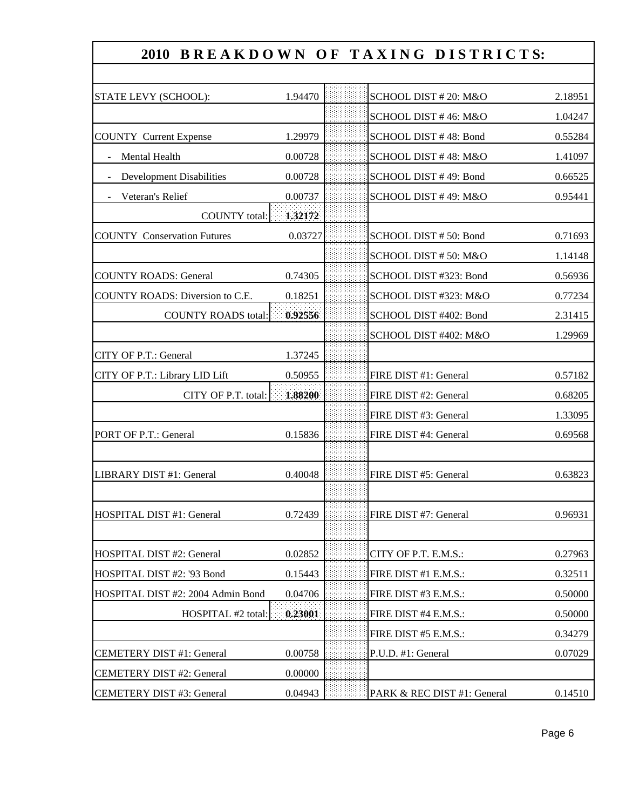|                                    |         | 2010 BREAKDOWN OF TAXING DISTRICTS: |         |
|------------------------------------|---------|-------------------------------------|---------|
|                                    |         |                                     |         |
| STATE LEVY (SCHOOL):               | 1.94470 | SCHOOL DIST # 20: M&O               | 2.18951 |
|                                    |         | SCHOOL DIST #46: M&O                | 1.04247 |
| <b>COUNTY Current Expense</b>      | 1.29979 | SCHOOL DIST #48: Bond               | 0.55284 |
| Mental Health                      | 0.00728 | SCHOOL DIST #48: M&O                | 1.41097 |
| <b>Development Disabilities</b>    | 0.00728 | SCHOOL DIST #49: Bond               | 0.66525 |
| Veteran's Relief                   | 0.00737 | SCHOOL DIST #49: M&O                | 0.95441 |
| <b>COUNTY</b> total:               | 1.32172 |                                     |         |
| <b>COUNTY Conservation Futures</b> | 0.03727 | SCHOOL DIST #50: Bond               | 0.71693 |
|                                    |         | SCHOOL DIST #50: M&O                | 1.14148 |
| <b>COUNTY ROADS: General</b>       | 0.74305 | SCHOOL DIST #323: Bond              | 0.56936 |
| COUNTY ROADS: Diversion to C.E.    | 0.18251 | SCHOOL DIST #323: M&O               | 0.77234 |
| <b>COUNTY ROADS total:</b>         | 0.92556 | SCHOOL DIST #402: Bond              | 2.31415 |
|                                    |         | SCHOOL DIST #402: M&O               | 1.29969 |
| CITY OF P.T.: General              | 1.37245 |                                     |         |
| CITY OF P.T.: Library LID Lift     | 0.50955 | FIRE DIST #1: General               | 0.57182 |
| CITY OF P.T. total:                | 1,88200 | FIRE DIST #2: General               | 0.68205 |
|                                    |         | FIRE DIST #3: General               | 1.33095 |
| PORT OF P.T.: General              | 0.15836 | FIRE DIST #4: General               | 0.69568 |
|                                    |         |                                     |         |
| LIBRARY DIST #1: General           | 0.40048 | FIRE DIST #5: General               | 0.63823 |
|                                    |         |                                     |         |
| HOSPITAL DIST #1: General          | 0.72439 | FIRE DIST #7: General               | 0.96931 |
|                                    |         |                                     |         |
| HOSPITAL DIST #2: General          | 0.02852 | CITY OF P.T. E.M.S.:                | 0.27963 |
| HOSPITAL DIST #2: '93 Bond         | 0.15443 | FIRE DIST #1 E.M.S.:                | 0.32511 |
| HOSPITAL DIST #2: 2004 Admin Bond  | 0.04706 | FIRE DIST #3 E.M.S.:                | 0.50000 |
| HOSPITAL #2 total:                 | 0.23001 | FIRE DIST #4 E.M.S.:                | 0.50000 |
|                                    |         | FIRE DIST #5 E.M.S.:                | 0.34279 |
| <b>CEMETERY DIST #1: General</b>   | 0.00758 | P.U.D. #1: General                  | 0.07029 |
| <b>CEMETERY DIST #2: General</b>   | 0.00000 |                                     |         |
| CEMETERY DIST #3: General          | 0.04943 | PARK & REC DIST #1: General         | 0.14510 |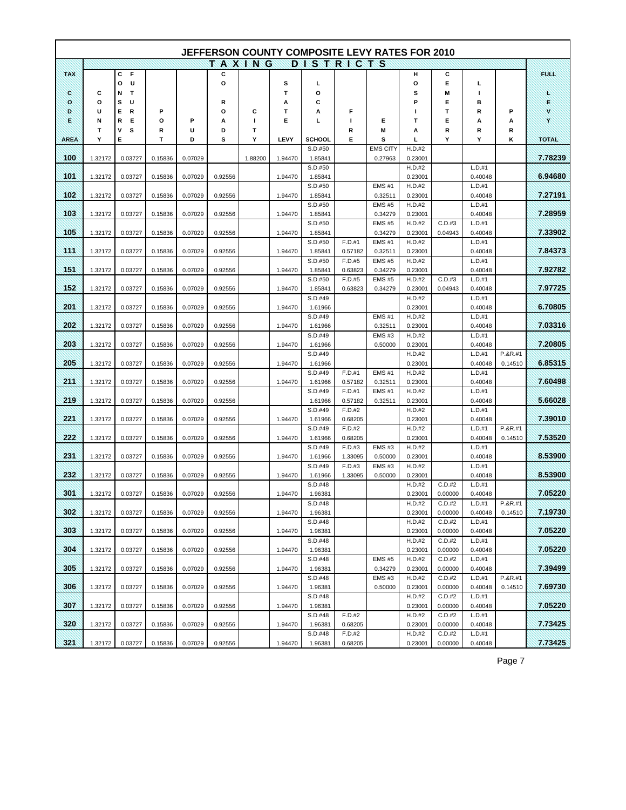|             |         |             |         |         |               |         |         |                    |                   | JEFFERSON COUNTY COMPOSITE LEVY RATES FOR 2010 |                   |                   |                   |           |             |
|-------------|---------|-------------|---------|---------|---------------|---------|---------|--------------------|-------------------|------------------------------------------------|-------------------|-------------------|-------------------|-----------|-------------|
|             |         |             |         |         | <b>TAXING</b> |         |         | <b>DISTRICTS</b>   |                   |                                                |                   |                   |                   |           |             |
| TAX         |         | с<br>F      |         |         | С             |         |         |                    |                   |                                                | н                 | С                 |                   |           | <b>FUEL</b> |
|             |         | U<br>o      |         |         | o             |         | s       | г                  |                   |                                                | О                 | Е                 | L                 |           |             |
| X.          | c       | Т<br>Ν      |         |         |               |         | т       | o                  |                   |                                                | s                 | Μ                 | т                 |           | £           |
| ۰           | О       | U<br>s      |         |         | R             |         | Α       | С                  |                   |                                                | P                 | Е                 | в                 |           | E           |
| D           | U       | R<br>Е.     | Р       |         | О             | С       | т       | A                  | F                 |                                                | ш                 | т                 | R                 | P         | ×           |
| ×           | Ν       | Е<br>R      | o       | P       | А             | т       | Е       | L                  | п                 | Е                                              | т                 | Е                 | А                 | А         | ×           |
| <b>AREA</b> | т<br>Y  | s<br>٧<br>Е | R<br>т  | U<br>D  | D<br>s        | Т<br>Υ  | LEVY    | <b>SCHOOL</b>      | R<br>Е            | Μ<br>s                                         | А<br>L            | R<br>Y            | R<br>Υ            | R<br>κ    | TOTAL       |
|             |         |             |         |         |               |         |         | S.D.#50            |                   | <b>EMS CITY</b>                                | H.D.#2            |                   |                   |           |             |
| 100         | 1.32172 | 0.03727     | 0.15836 | 0.07029 |               | 1.88200 | 1.94470 | 1.85841            |                   | 0.27963                                        | 0.23001           |                   |                   |           | 7.78239     |
|             |         |             |         |         |               |         |         | S.D.#50            |                   |                                                | H.D.#2            |                   | L.D.#1            |           |             |
| 104         | 1.32172 | 0.03727     | 0.15836 | 0.07029 | 0.92556       |         | 1.94470 | 1.85841            |                   |                                                | 0.23001           |                   | 0.40048           |           | 6.94680     |
|             |         |             |         |         |               |         |         | S.D.#50            |                   | <b>EMS #1</b>                                  | H.D.#2            |                   | L.D.#1            |           |             |
| 102         | 1.32172 | 0.03727     | 0.15836 | 0.07029 | 0.92556       |         | 1.94470 | 1.85841            |                   | 0.32511                                        | 0.23001           |                   | 0.40048           |           | 7.27191     |
|             |         |             |         |         |               |         |         | S.D.#50            |                   | <b>EMS #5</b>                                  | H.D.#2            |                   | L.D.#1            |           | 7.28959     |
| 103         | 1.32172 | 0.03727     | 0.15836 | 0.07029 | 0.92556       |         | 1.94470 | 1.85841<br>S.D.#50 |                   | 0.34279<br><b>EMS #5</b>                       | 0.23001<br>H.D.#2 | C.D.#3            | 0.40048<br>L.D.#1 |           |             |
| 105         | 1.32172 | 0.03727     | 0.15836 | 0.07029 | 0.92556       |         | 1.94470 | 1.85841            |                   | 0.34279                                        | 0.23001           | 0.04943           | 0.40048           |           | 7.33902     |
|             |         |             |         |         |               |         |         | S.D.#50            | F.D.#1            | <b>EMS #1</b>                                  | H.D.#2            |                   | L.D.#1            |           |             |
| 4486        | 1.32172 | 0.03727     | 0.15836 | 0.07029 | 0.92556       |         | 1.94470 | 1.85841            | 0.57182           | 0.32511                                        | 0.23001           |                   | 0.40048           |           | 7.84373     |
|             |         |             |         |         |               |         |         | S.D.#50            | F.D.#5            | <b>EMS #5</b>                                  | H.D.#2            |                   | L.D.#1            |           |             |
| 151         | 1.32172 | 0.03727     | 0.15836 | 0.07029 | 0.92556       |         | 1.94470 | 1.85841            | 0.63823           | 0.34279                                        | 0.23001           |                   | 0.40048           |           | 792782      |
|             |         |             |         |         |               |         |         | S.D.#50            | F.D.#5            | <b>EMS #5</b>                                  | H.D.#2            | C.D.#3            | L.D.#1            |           |             |
| 152         | 1.32172 | 0.03727     | 0.15836 | 0.07029 | 0.92556       |         | 1.94470 | 1.85841            | 0.63823           | 0.34279                                        | 0.23001           | 0.04943           | 0.40048           |           | 7.97725     |
| 201         | 1.32172 | 0.03727     | 0.15836 | 0.07029 | 0.92556       |         | 1.94470 | S.D.#49<br>1.61966 |                   |                                                | H.D.#2<br>0.23001 |                   | L.D.#1<br>0.40048 |           | 6.70805     |
|             |         |             |         |         |               |         |         | S.D.#49            |                   | <b>EMS #1</b>                                  | H.D.#2            |                   | L.D.#1            |           |             |
| 202         | 1.32172 | 0.03727     | 0.15836 | 0.07029 | 0.92556       |         | 1.94470 | 1.61966            |                   | 0.32511                                        | 0.23001           |                   | 0.40048           |           | 7.03316     |
|             |         |             |         |         |               |         |         | S.D.#49            |                   | <b>EMS #3</b>                                  | H.D.#2            |                   | L.D.#1            |           |             |
| 203         | 1.32172 | 0.03727     | 0.15836 | 0.07029 | 0.92556       |         | 1.94470 | 1.61966            |                   | 0.50000                                        | 0.23001           |                   | 0.40048           |           | 7.20805     |
|             |         |             |         |         |               |         |         | S.D.#49            |                   |                                                | H.D.#2            |                   | L.D.#1            | $P.8R.+1$ |             |
| 205         | 1.32172 | 0.03727     | 0.15836 | 0.07029 | 0.92556       |         | 1.94470 | 1.61966            |                   |                                                | 0.23001           |                   | 0.40048           | 0.14510   | 6.85315     |
|             |         |             |         |         |               |         |         | S.D.#49            | F.D.#1            | <b>EMS #1</b>                                  | H.D.#2            |                   | L.D.#1            |           |             |
| 211         | 1.32172 | 0.03727     | 0.15836 | 0.07029 | 0.92556       |         | 1.94470 | 1.61966<br>S.D.#49 | 0.57182<br>F.D.#1 | 0.32511<br><b>EMS #1</b>                       | 0.23001<br>H.D.#2 |                   | 0.40048<br>L.D.#1 |           | 7.60498     |
| 219         | 1.32172 | 0.03727     | 0.15836 | 0.07029 | 0.92556       |         |         | 1.61966            | 0.57182           | 0.32511                                        | 0.23001           |                   | 0.40048           |           | 5.66028     |
|             |         |             |         |         |               |         |         | S.D.#49            | F.D.#2            |                                                | H.D.#2            |                   | L.D.#1            |           |             |
| 221         | 1.32172 | 0.03727     | 0.15836 | 0.07029 | 0.92556       |         | 1.94470 | 1.61966            | 0.68205           |                                                | 0.23001           |                   | 0.40048           |           | 7.39010     |
|             |         |             |         |         |               |         |         | S.D.#49            | F.D.#2            |                                                | H.D.#2            |                   | L.D.#1            | P.&R.#1   |             |
| 222         | 1.32172 | 0.03727     | 0.15836 | 0.07029 | 0.92556       |         | 1.94470 | 1.61966            | 0.68205           |                                                | 0.23001           |                   | 0.40048           | 0.14510   | 7.53520     |
|             |         |             |         |         |               |         |         | S.D.#49            | F.D.#3            | <b>EMS #3</b>                                  | H.D.#2            |                   | L.D.#1            |           |             |
| 234         | 1.32172 | 0.03727     | 0.15836 | 0.07029 | 0.92556       |         | 1.94470 | 1.61966            | 1.33095           | 0.50000                                        | 0.23001           |                   | 0.40048           |           | 8.53900     |
| 232         | 1.32172 | 0.03727     | 0.15836 | 0.07029 | 0.92556       |         | 1.94470 | S.D.#49<br>1.61966 | F.D.#3<br>1.33095 | <b>EMS#3</b><br>0.50000                        | H.D.#2<br>0.23001 |                   | L.D.#1<br>0.40048 |           | 8.53900     |
|             |         |             |         |         |               |         |         | S.D.#48            |                   |                                                | H.D.#2            | C.D.#2            | L.D.#1            |           |             |
| 301         | 1.32172 | 0.03727     | 0.15836 | 0.07029 | 0.92556       |         | 1.94470 | 1.96381            |                   |                                                | 0.23001           | 0.00000           | 0.40048           |           | 7.05220     |
|             |         |             |         |         |               |         |         | S.D.#48            |                   |                                                | H.D.#2            | C.D.#2            | L.D.#1            | P.&R.#1   |             |
| 302         | 1.32172 | 0.03727     | 0.15836 | 0.07029 | 0.92556       |         | 1.94470 | 1.96381            |                   |                                                | 0.23001           | 0.00000           | 0.40048           | 0.14510   | 7.19730     |
|             |         |             |         |         |               |         |         | S.D.#48            |                   |                                                | H.D.#2            | C.D.#2            | L.D.#1            |           |             |
| 303         | 1.32172 | 0.03727     | 0.15836 | 0.07029 | 0.92556       |         | 1.94470 | 1.96381            |                   |                                                | 0.23001           | 0.00000           | 0.40048           |           | 7.05220     |
| 304         | 1.32172 | 0.03727     | 0.15836 | 0.07029 | 0.92556       |         | 1.94470 | S.D.#48<br>1.96381 |                   |                                                | H.D.#2<br>0.23001 | C.D.#2<br>0.00000 | L.D.#1<br>0.40048 |           | 7.05220     |
|             |         |             |         |         |               |         |         | S.D.#48            |                   | <b>EMS #5</b>                                  | H.D.#2            | C.D.#2            | L.D.#1            |           |             |
| 305         | 1.32172 | 0.03727     | 0.15836 | 0.07029 | 0.92556       |         | 1.94470 | 1.96381            |                   | 0.34279                                        | 0.23001           | 0.00000           | 0.40048           |           | 7.39499     |
|             |         |             |         |         |               |         |         | S.D.#48            |                   | EMS#3                                          | H.D.#2            | C.D.#2            | L.D.#1            | P.&R.#1   |             |
| 306         | 1.32172 | 0.03727     | 0.15836 | 0.07029 | 0.92556       |         | 1.94470 | 1.96381            |                   | 0.50000                                        | 0.23001           | 0.00000           | 0.40048           | 0.14510   | 7.69730     |
|             |         |             |         |         |               |         |         | S.D.#48            |                   |                                                | H.D.#2            | C.D.#2            | L.D.#1            |           |             |
| 307         | 1.32172 | 0.03727     | 0.15836 | 0.07029 | 0.92556       |         | 1.94470 | 1.96381            |                   |                                                | 0.23001           | 0.00000           | 0.40048           |           | 7.05220     |
| 320         |         |             | 0.15836 |         | 0.92556       |         |         | S.D.#48            | F.D.#2            |                                                | H.D.#2            | C.D.#2            | L.D.#1            |           | 7.73425     |
|             | 1.32172 | 0.03727     |         | 0.07029 |               |         | 1.94470 | 1.96381<br>S.D.#48 | 0.68205<br>F.D.#2 |                                                | 0.23001<br>H.D.#2 | 0.00000<br>C.D.#2 | 0.40048<br>L.D.#1 |           |             |
| 321         | 1.32172 | 0.03727     | 0.15836 | 0.07029 | 0.92556       |         | 1.94470 | 1.96381            | 0.68205           |                                                | 0.23001           | 0.00000           | 0.40048           |           | 7.73425     |

Page 7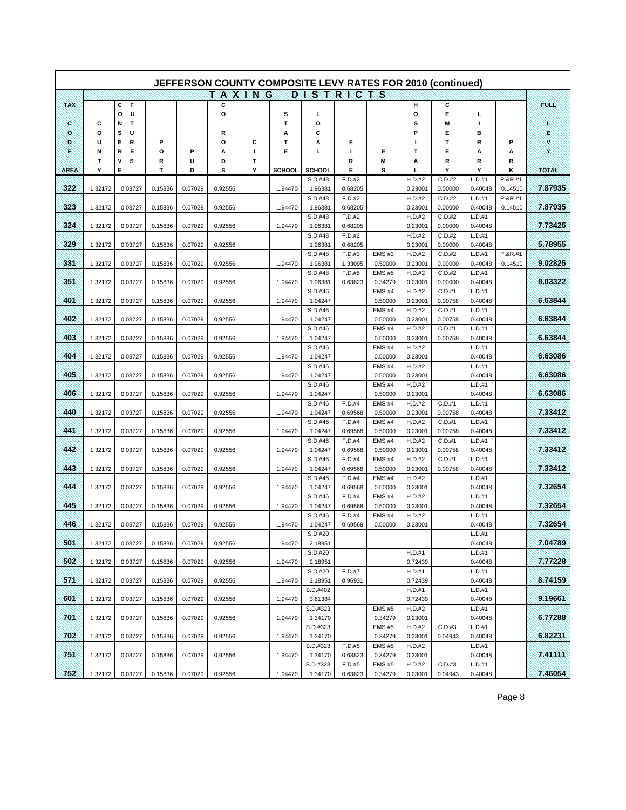|             |         |             |         |         |               |        |               | JEFFERSON COUNTY COMPOSITE LEVY RATES FOR 2010 (continued) |                   |                          |                   |                   |                   |         |         |
|-------------|---------|-------------|---------|---------|---------------|--------|---------------|------------------------------------------------------------|-------------------|--------------------------|-------------------|-------------------|-------------------|---------|---------|
|             |         |             |         |         | <b>TAXING</b> |        |               | <b>DISTRICTS</b>                                           |                   |                          |                   |                   |                   |         |         |
| <b>TAX</b>  |         | С<br>F      |         |         | с             |        |               |                                                            |                   |                          | н                 | С                 |                   |         | FUEL    |
|             |         | o<br>U      |         |         | O             |        | s             | г                                                          |                   |                          | О                 | Е                 | L                 |         |         |
| ×           | c       | Ν<br>Т      |         |         |               |        | T             | o                                                          |                   |                          | s                 | Μ                 | п                 |         | £       |
| ×           | о       | s<br>U      |         |         | R             |        | Α             | С                                                          |                   |                          | P                 | Е                 | в                 |         | Ë       |
| Đ           | U       | E<br>R      | Р       |         | o             | С      | Т             | А                                                          | F                 |                          | ш                 | т                 | R                 | Р       | ÿ.      |
| B           | N       | R<br>Е      | о       | Р       | Α             | п      | Е             | L                                                          | т                 | Е                        | т                 | Е                 | А                 | А       | ×       |
| <b>AREA</b> | Τ<br>Υ  | ٧<br>s<br>E | R<br>т  | U<br>D  | D<br>s        | Т<br>Y | <b>SCHOOL</b> | <b>SCHOOL</b>                                              | R<br>Е            | M<br>s                   | А<br>L            | R<br>Y            | R<br>Y            | R<br>κ  | TOTAL   |
|             |         |             |         |         |               |        |               | S.D.#48                                                    | F.D.#2            |                          | H.D.#2            | C.D.#2            | L.D.#1            | P.&R.#1 |         |
| 322         | 1.32172 | 0.03727     | 0.15836 | 0.07029 | 0.92556       |        | 1.94470       | 1.96381                                                    | 0.68205           |                          | 0.23001           | 0.00000           | 0.40048           | 0.14510 | 7.87935 |
|             |         |             |         |         |               |        |               | S.D.#48                                                    | F.D.#2            |                          | H.D.#2            | C.D.#2            | L.D.#1            | P.&R.#1 |         |
| 323         | 1.32172 | 0.03727     | 0.15836 | 0.07029 | 0.92556       |        | 1.94470       | 1.96381                                                    | 0.68205           |                          | 0.23001           | 0.00000           | 0.40048           | 0.14510 | 7.87935 |
|             |         |             |         |         |               |        |               | S.D.#48                                                    | F.D.#2            |                          | H.D.#2            | C.D.#2            | L.D.#1            |         |         |
| 324         | 1.32172 | 0.03727     | 0.15836 | 0.07029 | 0.92556       |        | 1.94470       | 1.96381                                                    | 0.68205           |                          | 0.23001           | 0.00000           | 0.40048           |         | 7.73425 |
| 329         |         |             |         |         |               |        |               | S.D.#48                                                    | F.D.#2            |                          | H.D.#2            | C.D.#2            | L.D.#1            |         | 5.78955 |
|             | 1.32172 | 0.03727     | 0.15836 | 0.07029 | 0.92556       |        |               | 1.96381<br>S.D.#48                                         | 0.68205<br>F.D.#3 | EMS#3                    | 0.23001<br>H.D.#2 | 0.00000<br>C.D.#2 | 0.40048<br>L.D.#1 | P.&R.#1 |         |
| 331         | 1.32172 | 0.03727     | 0.15836 | 0.07029 | 0.92556       |        | 1.94470       | 1.96381                                                    | 1.33095           | 0.50000                  | 0.23001           | 0.00000           | 0.40048           | 0.14510 | 9.02825 |
|             |         |             |         |         |               |        |               | S.D.#48                                                    | F.D.#5            | <b>EMS #5</b>            | H.D.#2            | C.D.#2            | L.D.#1            |         |         |
| 351         | 1.32172 | 0.03727     | 0.15836 | 0.07029 | 0.92556       |        | 1.94470       | 1.96381                                                    | 0.63823           | 0.34279                  | 0.23001           | 0.00000           | 0.40048           |         | 8.03322 |
|             |         |             |         |         |               |        |               | S.D.#46                                                    |                   | <b>EMS #4</b>            | H.D.#2            | C.D.#1            | L.D.#1            |         |         |
| 401         | 1.32172 | 0.03727     | 0.15836 | 0.07029 | 0.92556       |        | 1.94470       | 1.04247                                                    |                   | 0.50000                  | 0.23001           | 0.00758           | 0.40048           |         | 6.63844 |
|             |         |             |         |         |               |        |               | S.D.#46                                                    |                   | <b>EMS #4</b>            | H.D.#2            | C.D.#1            | L.D.#1            |         |         |
| 402         | 1.32172 | 0.03727     | 0.15836 | 0.07029 | 0.92556       |        | 1.94470       | 1.04247                                                    |                   | 0.50000                  | 0.23001           | 0.00758           | 0.40048           |         | 6.63844 |
| 403         | 1.32172 | 0.03727     | 0.15836 | 0.07029 | 0.92556       |        | 1.94470       | S.D.#46<br>1.04247                                         |                   | EMS#4<br>0.50000         | H.D.#2<br>0.23001 | C.D.#1<br>0.00758 | L.D.#1<br>0.40048 |         | 6.63844 |
|             |         |             |         |         |               |        |               | S.D.#46                                                    |                   | EMS#4                    | H.D.#2            |                   | L.D.#1            |         |         |
| 404         | 1.32172 | 0.03727     | 0.15836 | 0.07029 | 0.92556       |        | 1.94470       | 1.04247                                                    |                   | 0.50000                  | 0.23001           |                   | 0.40048           |         | 6.63086 |
|             |         |             |         |         |               |        |               | S.D.#46                                                    |                   | EMS#4                    | H.D.#2            |                   | L.D.#1            |         |         |
| 405         | 1.32172 | 0.03727     | 0.15836 | 0.07029 | 0.92556       |        | 1.94470       | 1.04247                                                    |                   | 0.50000                  | 0.23001           |                   | 0.40048           |         | 6.63086 |
|             |         |             |         |         |               |        |               | S.D.#46                                                    |                   | <b>EMS #4</b>            | H.D.#2            |                   | L.D.#1            |         |         |
| 406         | 1.32172 | 0.03727     | 0.15836 | 0.07029 | 0.92556       |        | 1.94470       | 1.04247                                                    |                   | 0.50000                  | 0.23001           |                   | 0.40048           |         | 6.63086 |
| 440         |         |             |         |         |               |        | 1.94470       | S.D.#46                                                    | F.D.#4            | <b>EMS #4</b>            | H.D.#2            | C.D.#1            | L.D.#1<br>0.40048 |         | 7.33412 |
|             | 1.32172 | 0.03727     | 0.15836 | 0.07029 | 0.92556       |        |               | 1.04247<br>S.D.#46                                         | 0.69568<br>F.D.#4 | 0.50000<br><b>EMS #4</b> | 0.23001<br>H.D.#2 | 0.00758<br>C.D.#1 | L.D.#1            |         |         |
| 441         | 1.32172 | 0.03727     | 0.15836 | 0.07029 | 0.92556       |        | 1.94470       | 1.04247                                                    | 0.69568           | 0.50000                  | 0.23001           | 0.00758           | 0.40048           |         | 7.33412 |
|             |         |             |         |         |               |        |               | S.D.#46                                                    | F.D.#4            | <b>EMS #4</b>            | H.D.#2            | C.D.#1            | L.D.#1            |         |         |
| 442         | 1.32172 | 0.03727     | 0.15836 | 0.07029 | 0.92556       |        | 1.94470       | 1.04247                                                    | 0.69568           | 0.50000                  | 0.23001           | 0.00758           | 0.40048           |         | 7.33412 |
|             |         |             |         |         |               |        |               | S.D.#46                                                    | F.D.#4            | EMS#4                    | H.D.#2            | C.D.#1            | L.D.#1            |         |         |
| 443         | 1.32172 | 0.03727     | 0.15836 | 0.07029 | 0.92556       |        | 1.94470       | 1.04247                                                    | 0.69568           | 0.50000                  | 0.23001           | 0.00758           | 0.40048           |         | 7.33412 |
|             |         |             |         |         |               |        |               | S.D.#46                                                    | F.D.#4            | EMS <sub>#4</sub>        | H.D.#2            |                   | L.D.#1            |         |         |
| 444         | 1.32172 | 0.03727     | 0.15836 | 0.07029 | 0.92556       |        | 1.94470       | 1.04247<br>S.D.#46                                         | 0.69568<br>F.D.#4 | 0.50000<br><b>EMS #4</b> | 0.23001           |                   | 0.40048<br>L.D.#1 |         | 7.32654 |
| 445         | 1.32172 | 0.03727     | 0.15836 | 0.07029 | 0.92556       |        | 1.94470       | 1.04247                                                    | 0.69568           | 0.50000                  | H.D.#2<br>0.23001 |                   | 0.40048           |         | 732654  |
|             |         |             |         |         |               |        |               | S.D.#46                                                    | F.D.#4            | <b>EMS #4</b>            | H.D.#2            |                   | L.D.#1            |         |         |
| 446         | 1.32172 | 0.03727     | 0.15836 | 0.07029 | 0.92556       |        | 1.94470       | 1.04247                                                    | 0.69568           | 0.50000                  | 0.23001           |                   | 0.40048           |         | 7.32654 |
|             |         |             |         |         |               |        |               | S.D.#20                                                    |                   |                          |                   |                   | L.D.#1            |         |         |
| 501         | 1.32172 | 0.03727     | 0.15836 | 0.07029 | 0.92556       |        | 1.94470       | 2.18951                                                    |                   |                          |                   |                   | 0.40048           |         | 7.04789 |
|             |         |             |         |         |               |        |               | S.D.#20                                                    |                   |                          | H.D.#1            |                   | L.D.#1            |         |         |
| 502         | 1.32172 | 0.03727     | 0.15836 | 0.07029 | 0.92556       |        | 1.94470       | 2.18951                                                    | F.D.#7            |                          | 0.72439           |                   | 0.40048<br>L.D.#1 |         | 7.77228 |
| 57.T        | 1.32172 | 0.03727     | 0.15836 | 0.07029 | 0.92556       |        | 1.94470       | S.D.#20<br>2.18951                                         | 0.96931           |                          | H.D.#1<br>0.72439 |                   | 0.40048           |         | 8.74159 |
|             |         |             |         |         |               |        |               | S.D.#402                                                   |                   |                          | H.D.#1            |                   | L.D.#1            |         |         |
| 601         | 1.32172 | 0.03727     | 0.15836 | 0.07029 | 0.92556       |        | 1.94470       | 3.61384                                                    |                   |                          | 0.72439           |                   | 0.40048           |         | 9.19661 |
|             |         |             |         |         |               |        |               | S.D.#323                                                   |                   | <b>EMS #5</b>            | H.D.#2            |                   | L.D.#1            |         |         |
| XOA         | 1.32172 | 0.03727     | 0.15836 | 0.07029 | 0.92556       |        | 1.94470       | 1.34170                                                    |                   | 0.34279                  | 0.23001           |                   | 0.40048           |         | 6.77288 |
|             |         |             |         |         |               |        |               | S.D.#323                                                   |                   | <b>EMS #5</b>            | H.D.#2            | C.D.#3            | L.D.#1            |         |         |
| 702         | 1.32172 | 0.03727     | 0.15836 | 0.07029 | 0.92556       |        | 1.94470       | 1.34170                                                    |                   | 0.34279                  | 0.23001           | 0.04943           | 0.40048           |         | 6.82231 |
| 751         | 1.32172 | 0.03727     | 0.15836 | 0.07029 | 0.92556       |        | 1.94470       | S.D.#323<br>1.34170                                        | F.D.#5<br>0.63823 | <b>EMS #5</b><br>0.34279 | H.D.#2<br>0.23001 |                   | L.D.#1<br>0.40048 |         | 7.41111 |
|             |         |             |         |         |               |        |               | S.D.#323                                                   | F.D.#5            | <b>EMS#5</b>             | H.D.#2            | C.D.#3            | L.D.#1            |         |         |
| 752         | 1.32172 | 0.03727     | 0.15836 | 0.07029 | 0.92556       |        | 1.94470       | 1.34170                                                    | 0.63823           | 0.34279                  | 0.23001           | 0.04943           | 0.40048           |         | 7.46054 |

Page 8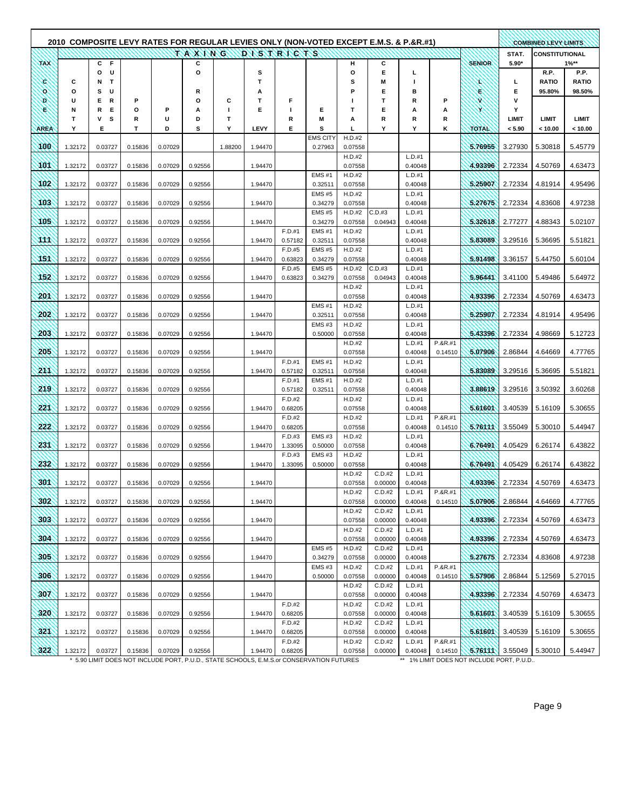|                 |         |                             |         |         |                  |         |         |                   | 2010 COMPOSITE LEVY RATES FOR REGULAR LEVIES ONLY (NON-VOTED EXCEPT E.M.S. & P.&R.#1) |                   |                   |                   |                    |               |                 | <b>COMBINED LEVY LIMITS</b> |                      |
|-----------------|---------|-----------------------------|---------|---------|------------------|---------|---------|-------------------|---------------------------------------------------------------------------------------|-------------------|-------------------|-------------------|--------------------|---------------|-----------------|-----------------------------|----------------------|
|                 |         |                             |         |         | TAXING DISTRICTS |         |         |                   |                                                                                       |                   |                   |                   |                    |               | STAT.           | <b>CONSTITUTIONAL</b>       |                      |
| <b>TAX</b>      |         | C F                         |         |         | c                |         |         |                   |                                                                                       | н                 | С                 |                   |                    | <b>SENIOR</b> | $5.90*$         |                             | $1\%**$              |
| ×.              | С       | o<br>U<br>$\mathbf{T}$<br>N |         |         | o                |         | s<br>T  |                   |                                                                                       | o<br>s            | Е<br>M            | г<br>ı            |                    | x             | г               | R.P.<br><b>RATIO</b>        | P.P.<br><b>RATIO</b> |
| o.              | o       | s<br>U                      |         |         | R                |         | А       |                   |                                                                                       | P                 | Е                 | в                 |                    | ×             | E               | 95.80%                      | 98.50%               |
| Ð               | U       | Е<br>R                      | P       |         | О                | С       | Т       | F                 |                                                                                       | п                 | T                 | R                 | Р                  | W             | v               |                             |                      |
| S               | Ν       | R<br>E                      | O       | P       | А                | I.      | Е       | т                 | Е                                                                                     | т                 | Е                 | А                 | А                  |               | Y               |                             |                      |
| <b>AREA</b>     | т<br>Υ  | ۷<br>s<br>Е                 | R<br>т  | U<br>D  | D<br>s           | т<br>Υ  | LEVY    | R<br>Е            | M<br>s                                                                                | А<br>г            | R<br>Υ            | R<br>Y            | R<br>κ             | <b>TOTAL</b>  | LIMIT<br>< 5.90 | LIMIT<br>< 10.00            | LIMIT<br>< 10.00     |
|                 |         |                             |         |         |                  |         |         |                   | <b>EMS CITY</b>                                                                       | H.D.#2            |                   |                   |                    |               |                 |                             |                      |
| 100             | 1.32172 | 0.03727                     | 0.15836 | 0.07029 |                  | 1.88200 | 1.94470 |                   | 0.27963                                                                               | 0.07558           |                   |                   |                    | 5.76955       | 3.27930         | 5.30818                     | 5.45779              |
| 101             | 1.32172 | 0.03727                     | 0.15836 | 0.07029 | 0.92556          |         | 1.94470 |                   |                                                                                       | H.D.#2<br>0.07558 |                   | L.D.#1<br>0.40048 |                    | 4.93396       | 2.72334         | 4.50769                     | 4.63473              |
|                 |         |                             |         |         |                  |         |         |                   | <b>EMS #1</b>                                                                         | H.D.#2            |                   | L.D.#1            |                    |               |                 |                             |                      |
| 102             | 1.32172 | 0.03727                     | 0.15836 | 0.07029 | 0.92556          |         | 1.94470 |                   | 0.32511                                                                               | 0.07558           |                   | 0.40048           |                    | 5.25907       | 2.72334         | 4.81914                     | 4.95496              |
|                 |         |                             |         |         |                  |         |         |                   | <b>EMS #5</b>                                                                         | H.D.#2            |                   | L.D.#1            |                    |               |                 |                             |                      |
| 103             | 1.32172 | 0.03727                     | 0.15836 | 0.07029 | 0.92556          |         | 1.94470 |                   | 0.34279<br><b>EMS #5</b>                                                              | 0.07558<br>H.D.#2 | C.D.#3            | 0.40048<br>L.D.#1 |                    | 5.27675       | 2.72334         | 4.83608                     | 4.97238              |
| 105             | 1.32172 | 0.03727                     | 0.15836 | 0.07029 | 0.92556          |         | 1.94470 |                   | 0.34279                                                                               | 0.07558           | 0.04943           | 0.40048           |                    | 5.32618       | 2.77277         | 4.88343                     | 5.02107              |
|                 |         |                             |         |         |                  |         |         | F.D.#1            | <b>EMS #1</b>                                                                         | H.D.#2            |                   | L.D.#1            |                    |               |                 |                             |                      |
| AW.             | 1.32172 | 0.03727                     | 0.15836 | 0.07029 | 0.92556          |         | 1.94470 | 0.57182<br>F.D.#5 | 0.32511<br><b>EMS #5</b>                                                              | 0.07558<br>H.D.#2 |                   | 0.40048<br>L.D.#1 |                    | 5.83089       | 3.29516         | 5.36695                     | 5.51821              |
| 151             | 1.32172 | 0.03727                     | 0.15836 | 0.07029 | 0.92556          |         | 1.94470 | 0.63823           | 0.34279                                                                               | 0.07558           |                   | 0.40048           |                    | 5.91498       | 3.36157         | 5.44750                     | 5.60104              |
|                 |         |                             |         |         |                  |         |         | F.D.#5            | <b>EMS#5</b>                                                                          | H.D.#2            | C.D.#3            | L.D.#1            |                    |               |                 |                             |                      |
| 152             | 1.32172 | 0.03727                     | 0.15836 | 0.07029 | 0.92556          |         | 1.94470 | 0.63823           | 0.34279                                                                               | 0.07558           | 0.04943           | 0.40048           |                    | 5.96441       | 3.41100         | 5.49486                     | 5.64972              |
| 201             | 1.32172 | 0.03727                     | 0.15836 | 0.07029 | 0.92556          |         | 1.94470 |                   |                                                                                       | H.D.#2<br>0.07558 |                   | L.D.#1<br>0.40048 |                    | 4.93396       | 2.72334         | 4.50769                     | 4.63473              |
|                 |         |                             |         |         |                  |         |         |                   | <b>EMS #1</b>                                                                         | H.D.#2            |                   | L.D.#1            |                    |               |                 |                             |                      |
| 202             | 1.32172 | 0.03727                     | 0.15836 | 0.07029 | 0.92556          |         | 1.94470 |                   | 0.32511                                                                               | 0.07558           |                   | 0.40048           |                    | 5.25907       | 2.72334         | 4.81914                     | 4.95496              |
| 203             | 1.32172 | 0.03727                     | 0.15836 | 0.07029 | 0.92556          |         | 1.94470 |                   | <b>EMS#3</b><br>0.50000                                                               | H.D.#2<br>0.07558 |                   | L.D.#1<br>0.40048 |                    | 5.43396       | 2.72334         | 4.98669                     | 5.12723              |
|                 |         |                             |         |         |                  |         |         |                   |                                                                                       | H.D.#2            |                   | L.D.#1            | P.&R.#1            |               |                 |                             |                      |
| 205             | 1.32172 | 0.03727                     | 0.15836 | 0.07029 | 0.92556          |         | 1.94470 |                   |                                                                                       | 0.07558           |                   | 0.40048           | 0.14510            | 5.07906       | 2.86844         | 4.64669                     | 4.77765              |
| 20              | 1.32172 | 0.03727                     | 0.15836 | 0.07029 | 0.92556          |         | 1.94470 | F.D.#1<br>0.57182 | <b>EMS#1</b><br>0.32511                                                               | H.D.#2<br>0.07558 |                   | L.D.#1<br>0.40048 |                    | 5.83089       | 3.29516         | 5.36695                     | 5.51821              |
|                 |         |                             |         |         |                  |         |         | F.D.#1            | <b>EMS #1</b>                                                                         | H.D.#2            |                   | L.D.#1            |                    |               |                 |                             |                      |
| 219             | 1.32172 | 0.03727                     | 0.15836 | 0.07029 | 0.92556          |         |         | 0.57182           | 0.32511                                                                               | 0.07558           |                   | 0.40048           |                    | 3.88619       | 3.29516         | 3.50392                     | 3.60268              |
| 221             |         |                             |         |         |                  |         |         | F.D.#2            |                                                                                       | H.D.#2            |                   | L.D.#1            |                    |               |                 |                             |                      |
|                 | 1.32172 | 0.03727                     | 0.15836 | 0.07029 | 0.92556          |         | 1.94470 | 0.68205<br>F.D.#2 |                                                                                       | 0.07558<br>H.D.#2 |                   | 0.40048<br>L.D.#1 | P.&R.#1            | 5.61601       | 3.40539         | 5.16109                     | 5.30655              |
| 222             | 1.32172 | 0.03727                     | 0.15836 | 0.07029 | 0.92556          |         | 1.94470 | 0.68205           |                                                                                       | 0.07558           |                   | 0.40048           | 0.14510            | 5.76111       | 3.55049         | 5.30010                     | 5.44947              |
|                 |         |                             |         |         |                  |         |         | F.D.#3            | <b>EMS #3</b>                                                                         | H.D.#2            |                   | L.D.#1            |                    |               |                 |                             |                      |
| 231             | 1.32172 | 0.03727                     | 0.15836 | 0.07029 | 0.92556          |         | 1.94470 | 1.33095<br>F.D.#3 | 0.50000<br><b>EMS #3</b>                                                              | 0.07558<br>H.D.#2 |                   | 0.40048<br>L.D.#1 |                    | 6.76491       | 4.05429         | 6.26174                     | 6.43822              |
| 232             | 1.32172 | 0.03727                     | 0.15836 | 0.07029 | 0.92556          |         | 1.94470 | 1.33095           | 0.50000                                                                               | 0.07558           |                   | 0.40048           |                    | 6.76491       | 4.05429         | 6.26174                     | 6.43822              |
|                 |         |                             |         |         |                  |         |         |                   |                                                                                       | H.D.#2            | C.D.#2            | L.D.#1            |                    |               |                 |                             |                      |
| 30 <sub>1</sub> | 1.32172 | 0.03727                     | 0.15836 | 0.07029 | 0.92556          |         | 1.94470 |                   |                                                                                       | 0.07558           | 0.00000           | 0.40048           |                    | 4.93396       | 2.72334         | 4.50769                     | 4.63473              |
| 302             | 1.32172 | 0.03727                     | 0.15836 | 0.07029 | 0.92556          |         | 1.94470 |                   |                                                                                       | H.D.#2<br>0.07558 | C.D.#2<br>0.00000 | L.D.#1<br>0.40048 | P.&R.#1<br>0.14510 | 5.07906       | 2.86844         | 4.64669                     | 4.77765              |
|                 |         |                             |         |         |                  |         |         |                   |                                                                                       | H.D.#2            | C.D.#2            | L.D.#1            |                    |               |                 |                             |                      |
| 303             | 1.32172 | 0.03727                     | 0.15836 | 0.07029 | 0.92556          |         | 1.94470 |                   |                                                                                       | 0.07558<br>H.D.#2 | 0.00000<br>C.D.#2 | 0.40048<br>L.D.#1 |                    | 4.93396       | 2.72334         | 4.50769                     | 4.63473              |
| 304             | 1.32172 | 0.03727                     | 0.15836 | 0.07029 | 0.92556          |         | 1.94470 |                   |                                                                                       | 0.07558           | 0.00000           | 0.40048           |                    | 4.93396       | 2.72334         | 4.50769                     | 4.63473              |
|                 |         |                             |         |         |                  |         |         |                   | <b>EMS#5</b>                                                                          | H.D.#2            | C.D.#2            | L.D.#1            |                    |               |                 |                             |                      |
| 305             | 1.32172 | 0.03727                     | 0.15836 | 0.07029 | 0.92556          |         | 1.94470 |                   | 0.34279                                                                               | 0.07558           | 0.00000           | 0.40048           |                    | 5.27675       | 2.72334         | 4.83608                     | 4.97238              |
| 306             | 1.32172 | 0.03727                     | 0.15836 | 0.07029 | 0.92556          |         | 1.94470 |                   | <b>EMS#3</b><br>0.50000                                                               | H.D.#2<br>0.07558 | C.D.#2<br>0.00000 | L.D.#1<br>0.40048 | P.&R.#1<br>0.14510 | 5.57906       | 2.86844         | 5.12569                     | 5.27015              |
|                 |         |                             |         |         |                  |         |         |                   |                                                                                       | H.D.#2            | C.D.#2            | L.D.#1            |                    |               |                 |                             |                      |
| 307             | 1.32172 | 0.03727                     | 0.15836 | 0.07029 | 0.92556          |         | 1.94470 |                   |                                                                                       | 0.07558           | 0.00000           | 0.40048           |                    | 4.93396       | 2.72334         | 4.50769                     | 4.63473              |
| 320             | 1.32172 | 0.03727                     | 0.15836 | 0.07029 | 0.92556          |         | 1.94470 | F.D.#2<br>0.68205 |                                                                                       | H.D.#2<br>0.07558 | C.D.#2<br>0.00000 | L.D.#1<br>0.40048 |                    | 5.61601       | 3.40539         | 5.16109                     | 5.30655              |
|                 |         |                             |         |         |                  |         |         | F.D.#2            |                                                                                       | H.D.#2            | C.D.#2            | L.D.#1            |                    |               |                 |                             |                      |
| 321             | 1.32172 | 0.03727                     | 0.15836 | 0.07029 | 0.92556          |         | 1.94470 | 0.68205           |                                                                                       | 0.07558           | 0.00000           | 0.40048           |                    | 5.61601       | 3.40539         | 5.16109                     | 5.30655              |
| 322             | 1.32172 | 0.03727                     | 0.15836 | 0.07029 | 0.92556          |         | 1.94470 | F.D.#2<br>0.68205 |                                                                                       | H.D.#2<br>0.07558 | C.D.#2<br>0.00000 | L.D.#1<br>0.40048 | P.&R.#1<br>0.14510 |               | 5.76111 3.55049 | 5.30010                     | 5.44947              |

\* 5.90 LIMIT DOES NOT INCLUDE PORT, P.U.D., STATE SCHOOLS, E.M.S.or CONSERVATION FUTURES

\*\* 1% LIMIT DOES NOT INCLUDE PORT, P.U.D..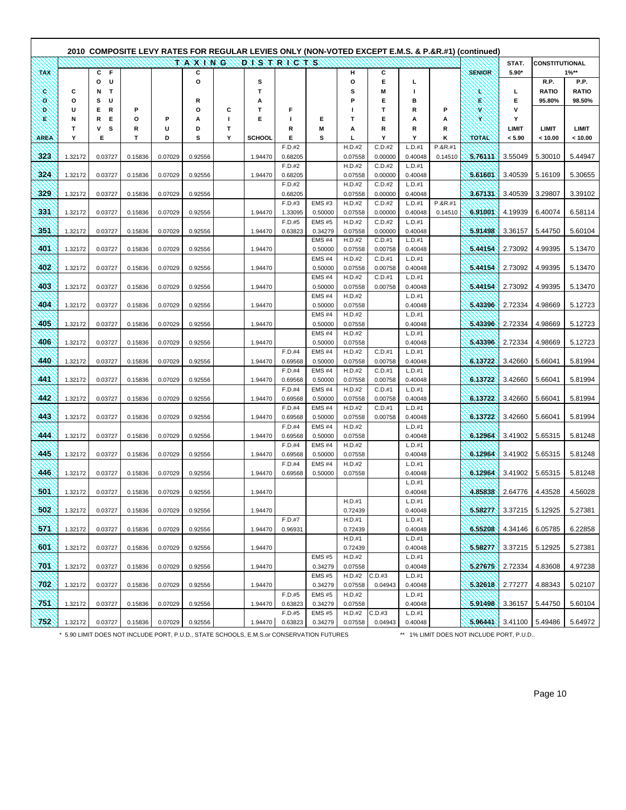|             |         |                        |         |         |               |        |               |                   |                              |                   |                   |                   |         | (composite LEVY RATES FOR REGULAR LEVIES ONLY (NON-VOTED EXCEPT E.M.S. & P.&R.#1) (continued) 2010 |                 |                       |                         |
|-------------|---------|------------------------|---------|---------|---------------|--------|---------------|-------------------|------------------------------|-------------------|-------------------|-------------------|---------|----------------------------------------------------------------------------------------------------|-----------------|-----------------------|-------------------------|
|             |         |                        |         |         | <b>SAKKAX</b> |        | DISTRICTS     |                   |                              |                   |                   |                   |         |                                                                                                    | STAT.           | <b>CONSTITUTIONAL</b> |                         |
| <b>TAX</b>  |         | C F<br>U               |         |         | С<br>o        |        |               |                   |                              | н                 | С<br>Е            |                   |         | <b>SENIOR</b>                                                                                      | $5.90*$         |                       | $1\%**$<br>P.P.         |
| ۰           | c       | о<br>$\mathbf{T}$<br>Ν |         |         |               |        | s<br>Т        |                   |                              | О<br>s            | M                 | г                 |         |                                                                                                    | L               | R.P.<br><b>RATIO</b>  | <b>RATIO</b>            |
| o           | $\circ$ | s<br>U                 |         |         | R             |        | Α             |                   |                              | Р                 | Е                 | в                 |         | ۴                                                                                                  | Е               | 95.80%                | 98.50%                  |
| D.          | U       | Е<br>R                 | P       |         | О             | С      | т             | F                 |                              | H                 | т                 | R                 | P       | x                                                                                                  | v               |                       |                         |
| R           | Ν       | R<br>E                 | О       | P       | А             | L      | E             | п                 | Е                            | т                 | Е                 | А                 | А       | ×                                                                                                  | Υ               |                       |                         |
| <b>AREA</b> | Т<br>Y  | v<br>s<br>Е            | R<br>T. | U<br>D  | D<br>s        | T<br>Υ | <b>SCHOOL</b> | R<br>Е            | M<br>s                       | А<br>ц            | R<br>Y            | R<br>Y            | R<br>κ  | TOTAL                                                                                              | LIMIT<br>< 5.90 | LIMIT<br>< 10.00      | <b>LIMIT</b><br>< 10.00 |
|             |         |                        |         |         |               |        |               | F.D.#2            |                              | H.D.#2            | C.D.#2            | L.D.#1            | P.&R.#1 |                                                                                                    |                 |                       |                         |
| 323         | 1.32172 | 0.03727                | 0.15836 | 0.07029 | 0.92556       |        | 1.94470       | 0.68205           |                              | 0.07558           | 0.00000           | 0.40048           | 0.14510 | 5.76111                                                                                            | 3.55049         | 5.30010               | 5.44947                 |
|             |         |                        |         |         |               |        |               | F.D.#2            |                              | H.D.#2            | C.D.#2            | L.D.#1            |         |                                                                                                    |                 |                       |                         |
| 324         | 1.32172 | 0.03727                | 0.15836 | 0.07029 | 0.92556       |        | 1.94470       | 0.68205<br>F.D.#2 |                              | 0.07558<br>H.D.#2 | 0.00000<br>C.D.#2 | 0.40048<br>L.D.#1 |         | 5.61601                                                                                            | 3.40539         | 5.16109               | 5.30655                 |
| 329         | 1.32172 | 0.03727                | 0.15836 | 0.07029 | 0.92556       |        |               | 0.68205           |                              | 0.07558           | 0.00000           | 0.40048           |         | 3.67131                                                                                            | 3.40539         | 3.29807               | 3.39102                 |
|             |         |                        |         |         |               |        |               | F.D.#3            | EMS#3                        | H.D.#2            | C.D.#2            | L.D.#1            | P.&R.#1 |                                                                                                    |                 |                       |                         |
| <b>331</b>  | 1.32172 | 0.03727                | 0.15836 | 0.07029 | 0.92556       |        | 1.94470       | 1.33095           | 0.50000                      | 0.07558           | 0.00000           | 0.40048           | 0.14510 | 6.91001                                                                                            | 4.19939         | 6.40074               | 6.58114                 |
|             |         |                        |         |         |               |        |               | F.D.#5            | <b>EMS#5</b>                 | H.D.#2            | C.D.#2            | L.D.#1            |         |                                                                                                    |                 |                       |                         |
| 351         | 1.32172 | 0.03727                | 0.15836 | 0.07029 | 0.92556       |        | 1.94470       | 0.63823           | 0.34279<br><b>EMS #4</b>     | 0.07558<br>H.D.#2 | 0.00000<br>C.D.#1 | 0.40048<br>L.D.#1 |         | 5.91498                                                                                            | 3.36157         | 5.44750               | 5.60104                 |
| 401         | 1.32172 | 0.03727                | 0.15836 | 0.07029 | 0.92556       |        | 1.94470       |                   | 0.50000                      | 0.07558           | 0.00758           | 0.40048           |         | 5.44154                                                                                            | 2.73092         | 4.99395               | 5.13470                 |
|             |         |                        |         |         |               |        |               |                   | <b>EMS #4</b>                | H.D.#2            | C.D.#1            | L.D.#1            |         |                                                                                                    |                 |                       |                         |
| 402         | 1.32172 | 0.03727                | 0.15836 | 0.07029 | 0.92556       |        | 1.94470       |                   | 0.50000                      | 0.07558           | 0.00758           | 0.40048           |         | 5.44154                                                                                            | 2.73092         | 4.99395               | 5.13470                 |
| 403         | 1.32172 | 0.03727                | 0.15836 | 0.07029 | 0.92556       |        | 1.94470       |                   | <b>EMS #4</b><br>0.50000     | H.D.#2<br>0.07558 | C.D.#1<br>0.00758 | L.D.#1<br>0.40048 |         | 5.44154                                                                                            | 2.73092         | 4.99395               | 5.13470                 |
|             |         |                        |         |         |               |        |               |                   | <b>EMS #4</b>                | H.D.#2            |                   | L.D.#1            |         |                                                                                                    |                 |                       |                         |
| 404         | 1.32172 | 0.03727                | 0.15836 | 0.07029 | 0.92556       |        | 1.94470       |                   | 0.50000                      | 0.07558           |                   | 0.40048           |         | 5.43396                                                                                            | 2.72334         | 4.98669               | 5.12723                 |
|             |         |                        |         |         |               |        |               |                   | <b>EMS #4</b>                | H.D.#2            |                   | L.D.#1            |         |                                                                                                    |                 |                       |                         |
| 405         | 1.32172 | 0.03727                | 0.15836 | 0.07029 | 0.92556       |        | 1.94470       |                   | 0.50000<br>EMS <sub>#4</sub> | 0.07558<br>H.D.#2 |                   | 0.40048<br>L.D.#1 |         | 5.43396                                                                                            | 2.72334         | 4.98669               | 5.12723                 |
| 406         | 1.32172 | 0.03727                | 0.15836 | 0.07029 | 0.92556       |        | 1.94470       |                   | 0.50000                      | 0.07558           |                   | 0.40048           |         | 5.43396                                                                                            | 2.72334         | 4.98669               | 5.12723                 |
|             |         |                        |         |         |               |        |               | F.D.#4            | EMS <sub>#4</sub>            | H.D.#2            | C.D.#1            | L.D.#1            |         |                                                                                                    |                 |                       |                         |
| 440         | 1.32172 | 0.03727                | 0.15836 | 0.07029 | 0.92556       |        | 1.94470       | 0.69568           | 0.50000                      | 0.07558           | 0.00758           | 0.40048           |         | 6.13722                                                                                            | 3.42660         | 5.66041               | 5.81994                 |
| 441         | 1.32172 | 0.03727                | 0.15836 | 0.07029 | 0.92556       |        | 1.94470       | F.D.#4<br>0.69568 | EMS <sub>#4</sub><br>0.50000 | H.D.#2<br>0.07558 | C.D.#1<br>0.00758 | L.D.#1<br>0.40048 |         | 6.13722                                                                                            | 3.42660         | 5.66041               | 5.81994                 |
|             |         |                        |         |         |               |        |               | F.D.#4            | <b>EMS #4</b>                | H.D.#2            | C.D.#1            | L.D.#1            |         |                                                                                                    |                 |                       |                         |
| 442         | 1.32172 | 0.03727                | 0.15836 | 0.07029 | 0.92556       |        | 1.94470       | 0.69568           | 0.50000                      | 0.07558           | 0.00758           | 0.40048           |         | 6.13722                                                                                            | 3.42660         | 5.66041               | 5.81994                 |
|             |         |                        |         |         |               |        |               | F.D.#4            | EMS <sub>#4</sub>            | H.D.#2            | C.D.#1            | L.D.#1            |         |                                                                                                    |                 |                       |                         |
| 443         | 1.32172 | 0.03727                | 0.15836 | 0.07029 | 0.92556       |        | 1.94470       | 0.69568<br>F.D.#4 | 0.50000<br>EMS <sub>#4</sub> | 0.07558<br>H.D.#2 | 0.00758           | 0.40048           |         | 6.13722                                                                                            | 3.42660         | 5.66041               | 5.81994                 |
| 444         | 1.32172 | 0.03727                | 0.15836 | 0.07029 | 0.92556       |        | 1.94470       | 0.69568           | 0.50000                      | 0.07558           |                   | L.D.#1<br>0.40048 |         | 6.12964                                                                                            | 3.41902         | 5.65315               | 5.81248                 |
|             |         |                        |         |         |               |        |               | F.D.#4            | <b>EMS #4</b>                | H.D.#2            |                   | L.D.#1            |         |                                                                                                    |                 |                       |                         |
| 445         | 1.32172 | 0.03727                | 0.15836 | 0.07029 | 0.92556       |        | 1.94470       | 0.69568           | 0.50000                      | 0.07558           |                   | 0.40048           |         | 6.12964                                                                                            | 3.41902         | 5.65315               | 5.81248                 |
| 446         |         |                        |         |         |               |        |               | F.D.#4            | <b>EMS #4</b>                | H.D.#2            |                   | L.D.#1            |         |                                                                                                    |                 |                       |                         |
|             | 1.32172 | 0.03727                | 0.15836 | 0.07029 | 0.92556       |        | 1.94470       | 0.69568           | 0.50000                      | 0.07558           |                   | 0.40048<br>L.D.#1 |         | 6.12964                                                                                            | 3.41902         | 5.65315               | 5.81248                 |
| 501         | 1.32172 | 0.03727                | 0.15836 | 0.07029 | 0.92556       |        | 1.94470       |                   |                              |                   |                   | 0.40048           |         | 4.85838                                                                                            | 2.64776         | 4.43528               | 4.56028                 |
|             |         |                        |         |         |               |        |               |                   |                              | H.D.#1            |                   | L.D.#1            |         |                                                                                                    |                 |                       |                         |
| 502         | 1.32172 | 0.03727                | 0.15836 | 0.07029 | 0.92556       |        | 1.94470       |                   |                              | 0.72439           |                   | 0.40048           |         | 5.58277                                                                                            | 3.37215         | 5.12925               | 5.27381                 |
| 371         | 1.32172 | 0.03727                | 0.15836 | 0.07029 | 0.92556       |        | 1.94470       | F.D.#7<br>0.96931 |                              | H.D.#1<br>0.72439 |                   | L.D.#1<br>0.40048 |         | 6.55208                                                                                            | 4.34146         | 6.05785               | 6.22858                 |
|             |         |                        |         |         |               |        |               |                   |                              | H.D.#1            |                   | L.D.#1            |         |                                                                                                    |                 |                       |                         |
| 601         | 1.32172 | 0.03727                | 0.15836 | 0.07029 | 0.92556       |        | 1.94470       |                   |                              | 0.72439           |                   | 0.40048           |         | 5.58277                                                                                            | 3.37215         | 5.12925               | 5.27381                 |
|             |         |                        |         |         |               |        |               |                   | <b>EMS#5</b>                 | H.D.#2            |                   | L.D.#1            |         |                                                                                                    |                 |                       |                         |
| 701         | 1.32172 | 0.03727                | 0.15836 | 0.07029 | 0.92556       |        | 1.94470       |                   | 0.34279<br><b>EMS #5</b>     | 0.07558<br>H.D.#2 | C.D.#3            | 0.40048<br>L.D.#1 |         | 5.27675                                                                                            | 2.72334         | 4.83608               | 4.97238                 |
| 702         | 1.32172 | 0.03727                | 0.15836 | 0.07029 | 0.92556       |        | 1.94470       |                   | 0.34279                      | 0.07558           | 0.04943           | 0.40048           |         | 5.32618                                                                                            | 2.77277         | 4.88343               | 5.02107                 |
|             |         |                        |         |         |               |        |               | F.D.#5            | <b>EMS #5</b>                | H.D.#2            |                   | L.D.#1            |         |                                                                                                    |                 |                       |                         |
| 751         | 1.32172 | 0.03727                | 0.15836 | 0.07029 | 0.92556       |        | 1.94470       | 0.63823           | 0.34279                      | 0.07558           |                   | 0.40048           |         | 5.91498                                                                                            | 3.36157         | 5.44750               | 5.60104                 |
| 752         | 1.32172 | 0.03727                |         | 0.07029 |               |        | 1.94470       | F.D.#5<br>0.63823 | <b>EMS #5</b><br>0.34279     | H.D.#2<br>0.07558 | C.D.#3            | L.D.#1<br>0.40048 |         | 5.96441                                                                                            | 3.41100         | 5.49486               | 5.64972                 |
|             |         |                        | 0.15836 |         | 0.92556       |        |               |                   |                              |                   | 0.04943           |                   |         |                                                                                                    |                 |                       |                         |

\* 5.90 LIMIT DOES NOT INCLUDE PORT, P.U.D., STATE SCHOOLS, E.M.S.or CONSERVATION FUTURES \*\* 1% LIMIT DOES NOT INCLUDE PORT, P.U.D..

 $\mathbf{r}$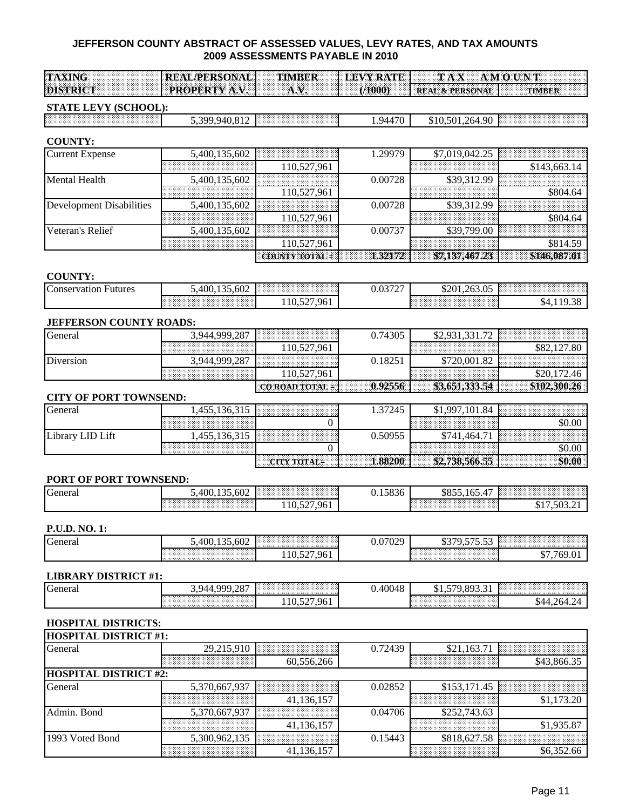| <b>TAXING</b>                                       |                                                        |                                  |
|-----------------------------------------------------|--------------------------------------------------------|----------------------------------|
|                                                     | <sup>1</sup> REAL/PERSONAL TIMBER LEVY RATE TAX AMOUNT |                                  |
|                                                     |                                                        |                                  |
|                                                     |                                                        |                                  |
|                                                     |                                                        |                                  |
| <b>DISTRICT</b><br><b>PROPERTY A.V. LETTLE A.V.</b> |                                                        | (/1000) REAL & PERSONAL   TIMBER |
|                                                     |                                                        |                                  |
|                                                     |                                                        |                                  |

# **STATE LEVY (SCHOOL):**

| 300<br>$\mathbf{A}$<br>. . | $\overline{\phantom{a}}$<br>$\mathbf{u}$<br>$^{\prime\prime}$ | $\sim$ $\sim$<br>501<br>$\overline{10}$<br>$\alpha$<br>ገሬ<br>\ I U<br>– د ۱⊖ |  |
|----------------------------|---------------------------------------------------------------|------------------------------------------------------------------------------|--|
|                            |                                                               |                                                                              |  |

#### **COUNTY:**

| <b>Current Expense</b>   | 5,400,135,602 |                     | .29979  | \$7,019,042.25 |              |
|--------------------------|---------------|---------------------|---------|----------------|--------------|
|                          |               | 110,527,961         |         |                | \$143,663.14 |
| Mental Health            | 5,400,135,602 |                     | 0.00728 | \$39,312.99    |              |
|                          |               | 110,527,961         |         |                | \$804.64     |
| Development Disabilities | 5,400,135,602 |                     | 0.00728 | \$39,312.99    |              |
|                          |               | 110,527,961         |         |                | \$804.64     |
| Veteran's Relief         | 5,400,135,602 |                     | 0.00737 | \$39,799.00    |              |
|                          |               | 110,527,961         |         |                | \$814.59     |
|                          |               | <b>COUNTY TOTAL</b> | 1821728 | \$7,137,467.23 | \$146,087.01 |

#### **COUNTY:**

| Conservation<br>Futures | .400.135<br>135.602 | .                                                 | 0.252<br>,.v., | \$201,263.05 | .  |
|-------------------------|---------------------|---------------------------------------------------|----------------|--------------|----|
|                         |                     | 961<br>$\overline{r}$<br>1 <sub>0</sub><br>$\sim$ |                |              | 1C |

#### **JEFFERSON COUNTY ROADS:**

| General   | 3,944,999,287 |                 | 0.74305 | $\overline{\phantom{a}}$<br>22 <sup>1</sup> |            |
|-----------|---------------|-----------------|---------|---------------------------------------------|------------|
|           |               | 110,527,961     |         |                                             | '.80       |
| Diversion | 3.944.999.287 |                 | 0.1825  | $\circ$<br>720.001                          |            |
|           |               | 110,527,961     |         |                                             |            |
|           |               | $\cos 10.92556$ |         |                                             | $\sqrt{2}$ |

#### **CITY OF PORT TOWNSEND:**

| General          | .                                                      | 7245 | - QQ |      |
|------------------|--------------------------------------------------------|------|------|------|
|                  |                                                        |      |      |      |
| Library LID Lift |                                                        | 5005 |      |      |
|                  |                                                        |      |      |      |
|                  | <b>Express and the community of the community</b><br>. | .    |      | - ሙድ |

#### **PORT OF PORT TOWNSEND:**

| $\sqrt{ }$<br>General | 135.602<br>400 |                                                | $\sim$<br>1.13836 | coss.<br>DO.                                                                                                                                                                                                                                                                                                                                                                                                                                                                                                                                                                                                                                                                                                                                                                                                                                                                                                                | .               |
|-----------------------|----------------|------------------------------------------------|-------------------|-----------------------------------------------------------------------------------------------------------------------------------------------------------------------------------------------------------------------------------------------------------------------------------------------------------------------------------------------------------------------------------------------------------------------------------------------------------------------------------------------------------------------------------------------------------------------------------------------------------------------------------------------------------------------------------------------------------------------------------------------------------------------------------------------------------------------------------------------------------------------------------------------------------------------------|-----------------|
|                       |                | 961<br>$\epsilon$<br>1 <sub>0</sub><br>$\cdot$ |                   | $\begin{minipage}{.4\linewidth} \begin{tabular}{l} \multicolumn{1}{l}{} & \multicolumn{1}{l}{} & \multicolumn{1}{l}{} \\ \multicolumn{1}{l}{} & \multicolumn{1}{l}{} & \multicolumn{1}{l}{} \\ \multicolumn{1}{l}{} & \multicolumn{1}{l}{} & \multicolumn{1}{l}{} \\ \multicolumn{1}{l}{} & \multicolumn{1}{l}{} & \multicolumn{1}{l}{} \\ \multicolumn{1}{l}{} & \multicolumn{1}{l}{} & \multicolumn{1}{l}{} \\ \multicolumn{1}{l}{} & \multicolumn{1}{l}{} & \multicolumn{1}{l}{} \\ \mult$<br>$\begin{minipage}[c]{0.03\textwidth} \centering \begin{tabular}[c]{@{}l@{}} \hline \textbf{1} & \textbf{2} & \textbf{3} & \textbf{4} & \textbf{5} & \textbf{6} & \textbf{7} & \textbf{8} & \textbf{9} & \textbf{10} & \textbf{10} & \textbf{10} & \textbf{10} & \textbf{10} & \textbf{10} & \textbf{10} & \textbf{10} & \textbf{10} & \textbf{10} & \textbf{10} & \textbf{10} & \textbf{10} & \textbf{10} & \textbf{10} &$ | 503<br>$\cdots$ |

# **P.U.D. NO. 1:**

| $\sqrt{2}$<br><b>C</b> eneral | 135.602<br>.400.135 | <u> 1999: 1999: 1999: 1999: 1999: 1999: 1999: 1999: 1999: 1999: 1999: 1999: 1999: 1999: 1999: 1999: 1999: 1999: 1</u> | 0.07029 | 70 <i>FAF FA</i> -<br>1270<br>ີ<br>'' ມາລາ<br>ື້ |      |
|-------------------------------|---------------------|-----------------------------------------------------------------------------------------------------------------------|---------|--------------------------------------------------|------|
|                               |                     | $\sim$<br>1.961<br>10.1                                                                                               |         |                                                  | 7691 |

# **LIBRARY DISTRICT #1:**

| General | 999.287<br>Q/A                                                                                                | A CONSTRUCTION CONTINUES IN A CONSTRUCTION OF A CONSTRUCTION OF A CONSTRUCTION OF A CONSTRUCTION OF A CONSTRUCT<br>and a series of the | 40048 | 8033<br>570<br><b>11</b><br>ב. 1 פ<br>ັ້ | a de casa de casa de casa de casa de casa de casa de casa de casa de casa de casa de casa de casa de casa de<br>As desde casa de casa de casa de casa de casa de casa de casa de casa de casa de casa de casa de casa de casa |
|---------|---------------------------------------------------------------------------------------------------------------|----------------------------------------------------------------------------------------------------------------------------------------|-------|------------------------------------------|-------------------------------------------------------------------------------------------------------------------------------------------------------------------------------------------------------------------------------|
|         | e in proposition de la comparativa de la comparativa de la constitució de la constitució de la constitució de | 7.961<br>$\sim$<br>10.                                                                                                                 |       |                                          | \$44<br>764<br>$\cdots$                                                                                                                                                                                                       |

# **HOSPITAL DISTRICTS:**

| <b>HOSPITAL DISTRICT #1:</b> |               |            |         |              |             |
|------------------------------|---------------|------------|---------|--------------|-------------|
| General                      | 29,215,910    |            | 0.72439 | \$21,163.71  |             |
|                              |               | 60,556,266 |         |              | \$43,866.35 |
| <b>HOSPITAL DISTRICT #2:</b> |               |            |         |              |             |
| General                      | 5,370,667,937 |            | 0.02852 | \$153,171.45 |             |
|                              |               | 41,136,157 |         |              | \$1,173.20  |
| Admin. Bond                  | 5,370,667,937 |            | 0.04706 | \$252,743.63 |             |
|                              |               | 41,136,157 |         |              | \$1,935.87  |
| 1993 Voted Bond              | 5,300,962,135 |            | 0.15443 | \$818,627.58 |             |
|                              |               | 41,136,157 |         |              | \$6,352.66  |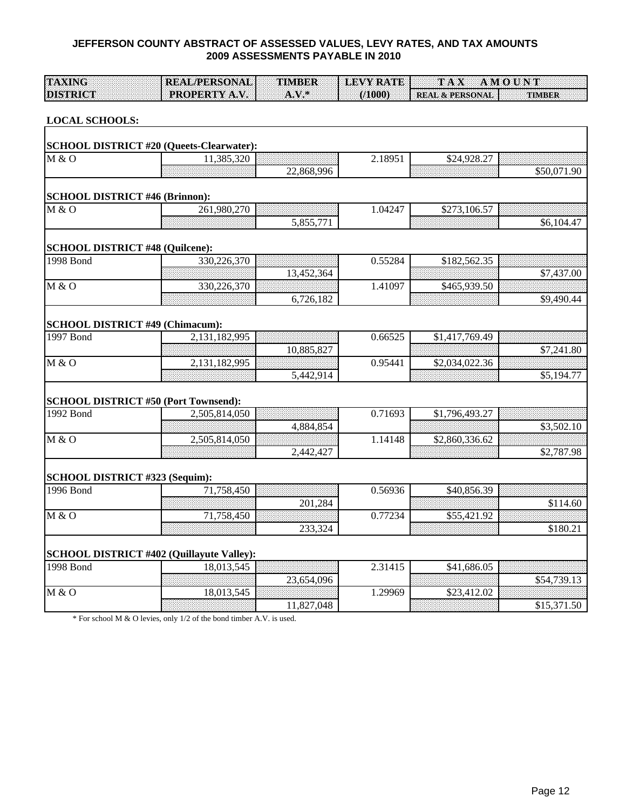| <b>TAXING</b>                          | <b>REAL/PERSONAL</b>                             | <b>TIMBER</b> | <b>LEVY RATE</b> | TAX AMOUNT                 |               |
|----------------------------------------|--------------------------------------------------|---------------|------------------|----------------------------|---------------|
| <b>DISTRICT</b>                        | PROPERTY A.V.                                    | $A.V.$ *      | (1000)           | <b>REAL &amp; PERSONAL</b> | <b>TIMBER</b> |
|                                        |                                                  |               |                  |                            |               |
| <b>LOCAL SCHOOLS:</b>                  |                                                  |               |                  |                            |               |
|                                        |                                                  |               |                  |                            |               |
|                                        | <b>SCHOOL DISTRICT #20 (Queets-Clearwater):</b>  |               |                  |                            |               |
| M & O                                  | 11,385,320                                       |               | 2.18951          | \$24,928.27                |               |
|                                        |                                                  | 22,868,996    |                  |                            | \$50,071.90   |
|                                        |                                                  |               |                  |                            |               |
| <b>SCHOOL DISTRICT #46 (Brinnon):</b>  |                                                  |               |                  |                            |               |
| M & O                                  | 261,980,270                                      |               | 1.04247          | \$273,106.57               |               |
|                                        |                                                  | 5,855,771     |                  |                            | \$6,104.47    |
| <b>SCHOOL DISTRICT #48 (Quilcene):</b> |                                                  |               |                  |                            |               |
| 1998 Bond                              | 330,226,370                                      |               | 0.55284          | \$182,562.35               |               |
|                                        |                                                  | 13,452,364    |                  |                            | \$7,437.00    |
| M & O                                  | 330,226,370                                      |               | 1.41097          | \$465,939.50               |               |
|                                        |                                                  | 6,726,182     |                  |                            | \$9,490.44    |
|                                        |                                                  |               |                  |                            |               |
|                                        | <b>SCHOOL DISTRICT #49 (Chimacum):</b>           |               |                  |                            |               |
| $1997$ Bond                            | 2,131,182,995                                    |               | 0.66525          | \$1,417,769.49             |               |
|                                        |                                                  | 10,885,827    |                  |                            | \$7,241.80    |
| M & O                                  | 2,131,182,995                                    |               | 0.95441          | \$2,034,022.36             |               |
|                                        |                                                  | 5,442,914     |                  |                            | \$5,194.77    |
|                                        |                                                  |               |                  |                            |               |
|                                        | <b>SCHOOL DISTRICT #50 (Port Townsend):</b>      |               |                  |                            |               |
| 1992 Bond                              | 2,505,814,050                                    |               | 0.71693          | \$1,796,493.27             |               |
|                                        |                                                  | 4,884,854     |                  |                            | \$3,502.10    |
| M & O                                  | 2,505,814,050                                    |               | 1.14148          | \$2,860,336.62             |               |
|                                        |                                                  | 2,442,427     |                  |                            | \$2,787.98    |
|                                        |                                                  |               |                  |                            |               |
| SCHOOL DISTRICT #323 (Sequim):         |                                                  |               |                  |                            |               |
| 1996 Bond                              | 71,758,450                                       |               | 0.56936          | \$40,856.39                |               |
|                                        |                                                  | 201,284       |                  |                            | \$114.60      |
| M & O                                  | 71,758,450                                       |               | 0.77234          | \$55,421.92                |               |
|                                        |                                                  | 233,324       |                  |                            | \$180.21      |
|                                        | <b>SCHOOL DISTRICT #402 (Quillayute Valley):</b> |               |                  |                            |               |
| 1998 Bond                              | 18,013,545                                       |               | 2.31415          | \$41,686.05                |               |
|                                        |                                                  | 23,654,096    |                  |                            | \$54,739.13   |
| M & O                                  | 18,013,545                                       |               | 1.29969          | \$23,412.02                |               |
|                                        |                                                  | 11,827,048    |                  |                            | \$15,371.50   |
|                                        |                                                  |               |                  |                            |               |

\* For school M & O levies, only 1/2 of the bond timber A.V. is used.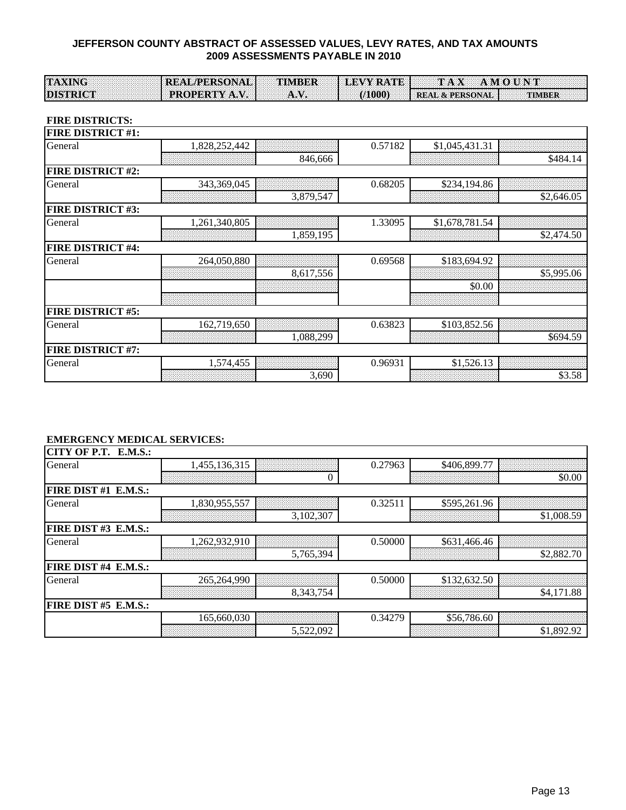| <b>TAXING</b>   | <b>TREAL/PERSONAL TIMBER LEVY RATE TAX AMOUNT</b> |                                                                          |
|-----------------|---------------------------------------------------|--------------------------------------------------------------------------|
|                 |                                                   |                                                                          |
|                 |                                                   |                                                                          |
|                 |                                                   |                                                                          |
|                 |                                                   |                                                                          |
|                 |                                                   |                                                                          |
|                 |                                                   |                                                                          |
|                 |                                                   |                                                                          |
| <b>DISTRICT</b> |                                                   | <b>F PROPERTY A.V. A.V. 1</b> (1000) <b>REAL &amp; PERSONAL   TIMBER</b> |
|                 |                                                   |                                                                          |
|                 |                                                   |                                                                          |
|                 |                                                   |                                                                          |

#### **FIRE DISTRICTS:**

| <b>FIRE DISTRICT #1:</b> |               |           |         |                |            |
|--------------------------|---------------|-----------|---------|----------------|------------|
| General                  | 1,828,252,442 |           | 0.57182 | \$1,045,431.31 |            |
|                          |               | 846,666   |         |                | \$484.14   |
| <b>FIRE DISTRICT #2:</b> |               |           |         |                |            |
| General                  | 343,369,045   |           | 0.68205 | \$234,194.86   |            |
|                          |               | 3,879,547 |         |                | \$2,646.05 |
| <b>FIRE DISTRICT #3:</b> |               |           |         |                |            |
| General                  | 1,261,340,805 |           | 1.33095 | \$1,678,781.54 |            |
|                          |               | 1,859,195 |         |                | \$2,474.50 |
| <b>FIRE DISTRICT #4:</b> |               |           |         |                |            |
| General                  | 264,050,880   |           | 0.69568 | \$183,694.92   |            |
|                          |               | 8,617,556 |         |                | \$5,995.06 |
|                          |               |           |         | \$0.00         |            |
|                          |               |           |         |                |            |
| <b>FIRE DISTRICT #5:</b> |               |           |         |                |            |
| General                  | 162,719,650   |           | 0.63823 | \$103,852.56   |            |
|                          |               | 1,088,299 |         |                | \$694.59   |
| <b>FIRE DISTRICT #7:</b> |               |           |         |                |            |
| General                  | 1,574,455     |           | 0.96931 | \$1,526.13     |            |
|                          |               | 3,690     |         |                | \$3.58     |

# **EMERGENCY MEDICAL SERVICES:**

| CITY OF P.T. E.M.S.: |               |           |         |              |            |
|----------------------|---------------|-----------|---------|--------------|------------|
| General              | 1,455,136,315 |           | 0.27963 | \$406,899.77 |            |
|                      |               |           |         |              | \$0.00     |
| FIRE DIST #1 E.M.S.: |               |           |         |              |            |
| General              | 1,830,955,557 |           | 0.32511 | \$595,261.96 |            |
|                      |               | 3,102,307 |         |              | \$1,008.59 |
| FIRE DIST #3 E.M.S.: |               |           |         |              |            |
| General              | 1,262,932,910 |           | 0.50000 | \$631,466.46 |            |
|                      |               | 5,765,394 |         |              | \$2,882.70 |
| FIRE DIST #4 E.M.S.: |               |           |         |              |            |
| General              | 265,264,990   |           | 0.50000 | \$132,632.50 |            |
|                      |               | 8,343,754 |         |              | \$4,171.88 |
| FIRE DIST #5 E.M.S.: |               |           |         |              |            |
|                      | 165,660,030   |           | 0.34279 | \$56,786.60  |            |
|                      |               | 5,522,092 |         |              | \$1,892.92 |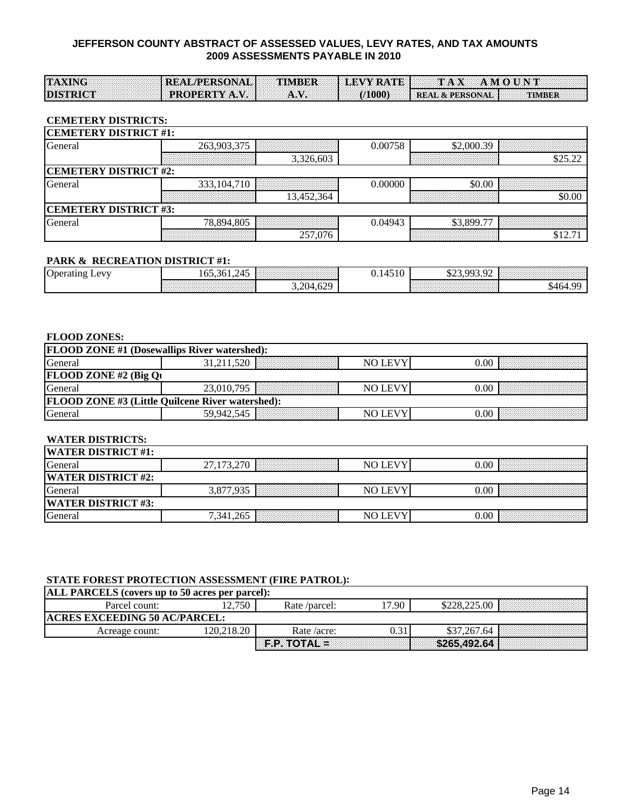| <b>TAXING</b><br>REAL/PERSONAL TIMBER LEVY RATE TAX AMOUNT                                                                                          |  |
|-----------------------------------------------------------------------------------------------------------------------------------------------------|--|
|                                                                                                                                                     |  |
|                                                                                                                                                     |  |
|                                                                                                                                                     |  |
| $\mathbb{E}[\text{PROPERTIES } \mathbf{I} \mathbf{X}, \mathbf{V}]$ A.V. $\mathbb{E}[\text{O}(1000) \leq \mathbb{E}[\text{REAL } \mathbf{A}]$ TIMBER |  |
| <b>DISTRICT</b>                                                                                                                                     |  |
|                                                                                                                                                     |  |
|                                                                                                                                                     |  |
|                                                                                                                                                     |  |
|                                                                                                                                                     |  |
|                                                                                                                                                     |  |

#### **CEMETERY DISTRICTS:**

| <b>CEMETERY DISTRICT #1:</b> |                              |            |         |            |         |  |  |  |  |  |
|------------------------------|------------------------------|------------|---------|------------|---------|--|--|--|--|--|
| General                      | 263,903,375                  |            | 0.00758 | \$2,000.39 |         |  |  |  |  |  |
|                              |                              | 3,326,603  |         |            | \$25.22 |  |  |  |  |  |
| <b>CEMETERY DISTRICT #2:</b> |                              |            |         |            |         |  |  |  |  |  |
| General                      | 333, 104, 710                |            | 0.00000 | \$0.00     |         |  |  |  |  |  |
|                              |                              | 13,452,364 |         |            |         |  |  |  |  |  |
|                              | <b>CEMETERY DISTRICT #3:</b> |            |         |            |         |  |  |  |  |  |
| General                      | 78.894.805                   |            | 0.04943 | \$3,899.77 |         |  |  |  |  |  |
|                              |                              | 257,076    |         |            |         |  |  |  |  |  |

#### **PARK & RECREATION DISTRICT #1:**

| $\sim$<br>AYU<br>Operating | 245<br>--<br>102.301.2 | .<br><b>CONTRACTOR</b><br>.<br>.<br>.                | V. 14J<br>′ ⊥ ∪ | $\bigcap$<br>003<br>$\Omega$<br>. بران کاف<br>. |      |
|----------------------------|------------------------|------------------------------------------------------|-----------------|-------------------------------------------------|------|
|                            |                        | 620<br>204<br>$J \cdot L \cup T \cdot \cup L$<br>. . |                 | .<br>. <b>.</b>                                 | 540. |

#### **FLOOD ZONES:**

| <b>FLOOD ZONE #1 (Dosewallips River watershed):</b>     |                                                                |                |  |  |  |  |  |  |  |  |  |  |
|---------------------------------------------------------|----------------------------------------------------------------|----------------|--|--|--|--|--|--|--|--|--|--|
| General                                                 | <u> Maria Maria Maria Maria Maria Maria Maria Mondo de Ant</u> | NO LEV         |  |  |  |  |  |  |  |  |  |  |
| <b>FLOOD ZONE #2 (Big Q)</b>                            |                                                                |                |  |  |  |  |  |  |  |  |  |  |
| General                                                 | 23,010,795                                                     | NO LEVY        |  |  |  |  |  |  |  |  |  |  |
| <b>FLOOD ZONE #3 (Little Quilcene River watershed):</b> |                                                                |                |  |  |  |  |  |  |  |  |  |  |
| beneral                                                 |                                                                | <b>NO LEVY</b> |  |  |  |  |  |  |  |  |  |  |

# **WATER DISTRICTS:**

| <b>WATER DISTRICT #1:</b>  |                                                                       |         |                                                                                                                         |
|----------------------------|-----------------------------------------------------------------------|---------|-------------------------------------------------------------------------------------------------------------------------|
| General                    | 27,173<br>، بے د                                                      | NO LEV. | 0.00                                                                                                                    |
| <b>IWATER DISTRICT #2:</b> |                                                                       |         |                                                                                                                         |
| General                    | 162616162626261616262626261626262626162616261626162616261626          | NO LEV  | 0.00                                                                                                                    |
| <b>WATER DISTRICT #3:</b>  |                                                                       |         |                                                                                                                         |
| General                    | 7,341,265<br><b>DESCRIPTIONS IN AN ARRANGEMENT OF A REAL PROPERTY</b> | NO LEVY | 0.00<br>The contract of the contract of the contract of the contract of the contract of the contract of the contract of |

#### **STATE FOREST PROTECTION ASSESSMENT (FIRE PATROL):**

| <b>ALL PARCELS</b> (covers up to 50 acres per parcel): |            |                |       |              |  |  |  |  |  |  |  |  |  |
|--------------------------------------------------------|------------|----------------|-------|--------------|--|--|--|--|--|--|--|--|--|
| Parcel count:                                          | 2,750      | Rate /parcel:  | '7.90 | \$228,225.00 |  |  |  |  |  |  |  |  |  |
| <b>ACRES EXCEEDING 50 AC/PARCEL:</b>                   |            |                |       |              |  |  |  |  |  |  |  |  |  |
| Acreage count:                                         | 120.218.20 | Rate /acre:    | 0.31  | \$37,267.64  |  |  |  |  |  |  |  |  |  |
|                                                        |            | $F.P. TOTAL =$ |       | \$265.492.64 |  |  |  |  |  |  |  |  |  |